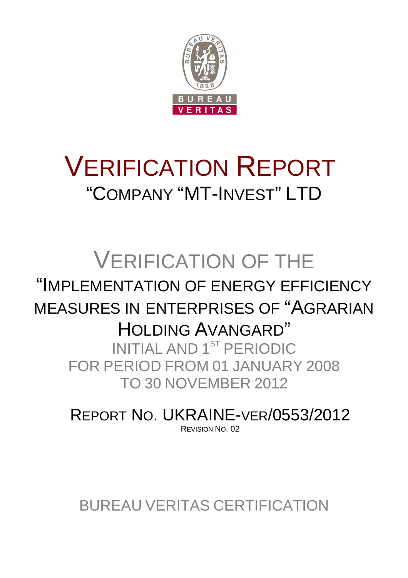

# VERIFICATION REPORT "COMPANY "MT-INVEST" LTD

# VERIFICATION OF THE "IMPLEMENTATION OF ENERGY EFFICIENCY MEASURES IN ENTERPRISES OF "AGRARIAN HOLDING AVANGARD" INITIAL AND 1ST PERIODIC FOR PERIOD FROM 01 JANUARY 2008 TO 30 NOVEMBER 2012

REPORT NO. UKRAINE-VER/0553/2012 REVISION NO. 02

BUREAU VERITAS CERTIFICATION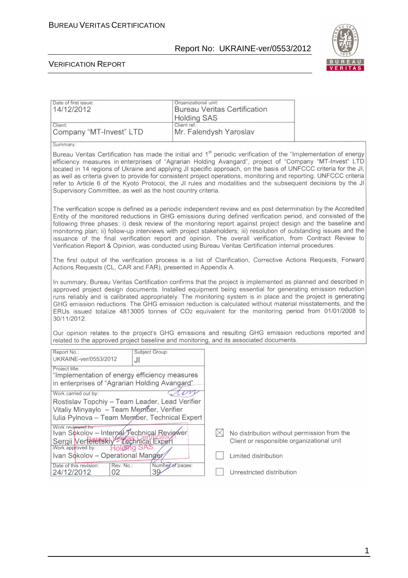

| Date of first issue:<br>14/12/2012                                                                                                                                                                                                                                                                                                                                                                                                                                                                                                                                                                                                                             |                                                                                                                                                                                                                                                                                                                                                                                                                                                                                                                                                                                                                                                                                         | Organizational unit:<br><b>Bureau Veritas Certification</b><br><b>Holding SAS</b> |                                                                                          |  |  |  |
|----------------------------------------------------------------------------------------------------------------------------------------------------------------------------------------------------------------------------------------------------------------------------------------------------------------------------------------------------------------------------------------------------------------------------------------------------------------------------------------------------------------------------------------------------------------------------------------------------------------------------------------------------------------|-----------------------------------------------------------------------------------------------------------------------------------------------------------------------------------------------------------------------------------------------------------------------------------------------------------------------------------------------------------------------------------------------------------------------------------------------------------------------------------------------------------------------------------------------------------------------------------------------------------------------------------------------------------------------------------------|-----------------------------------------------------------------------------------|------------------------------------------------------------------------------------------|--|--|--|
| Client:<br>Company "MT-Invest" LTD                                                                                                                                                                                                                                                                                                                                                                                                                                                                                                                                                                                                                             |                                                                                                                                                                                                                                                                                                                                                                                                                                                                                                                                                                                                                                                                                         | Client ref.:<br>Mr. Falendysh Yaroslav                                            |                                                                                          |  |  |  |
| Summary:                                                                                                                                                                                                                                                                                                                                                                                                                                                                                                                                                                                                                                                       |                                                                                                                                                                                                                                                                                                                                                                                                                                                                                                                                                                                                                                                                                         |                                                                                   |                                                                                          |  |  |  |
| Bureau Veritas Certification has made the initial and 1 <sup>st</sup> periodic verification of the "Implementation of energy<br>efficiency measures in enterprises of "Agrarian Holding Avangard", project of "Company "MT-Invest" LTD<br>located in 14 regions of Ukraine and applying JI specific approach, on the basis of UNFCCC criteria for the JI,<br>as well as criteria given to provide for consistent project operations, monitoring and reporting. UNFCCC criteria<br>refer to Article 6 of the Kyoto Protocol, the JI rules and modalities and the subsequent decisions by the JI<br>Supervisory Committee, as well as the host country criteria. |                                                                                                                                                                                                                                                                                                                                                                                                                                                                                                                                                                                                                                                                                         |                                                                                   |                                                                                          |  |  |  |
|                                                                                                                                                                                                                                                                                                                                                                                                                                                                                                                                                                                                                                                                | The verification scope is defined as a periodic independent review and ex post determination by the Accredited<br>Entity of the monitored reductions in GHG emissions during defined verification period, and consisted of the<br>following three phases: i) desk review of the monitoring report against project design and the baseline and<br>monitoring plan; ii) follow-up interviews with project stakeholders; iii) resolution of outstanding issues and the<br>issuance of the final verification report and opinion. The overall verification, from Contract Review to<br>Verification Report & Opinion, was conducted using Bureau Veritas Certification internal procedures. |                                                                                   |                                                                                          |  |  |  |
| The first output of the verification process is a list of Clarification, Corrective Actions Requests, Forward<br>Actions Requests (CL, CAR and FAR), presented in Appendix A.                                                                                                                                                                                                                                                                                                                                                                                                                                                                                  |                                                                                                                                                                                                                                                                                                                                                                                                                                                                                                                                                                                                                                                                                         |                                                                                   |                                                                                          |  |  |  |
| In summary, Bureau Veritas Certification confirms that the project is implemented as planned and described in<br>approved project design documents. Installed equipment being essential for generating emission reduction<br>runs reliably and is calibrated appropriately. The monitoring system is in place and the project is generating<br>GHG emission reductions. The GHG emission reduction is calculated without material misstatements, and the<br>ERUs issued totalize 4813005 tonnes of CO2 equivalent for the monitoring period from 01/01/2008 to<br>30/11/2012.                                                                                  |                                                                                                                                                                                                                                                                                                                                                                                                                                                                                                                                                                                                                                                                                         |                                                                                   |                                                                                          |  |  |  |
| Our opinion relates to the project's GHG emissions and resulting GHG emission reductions reported and<br>related to the approved project baseline and monitoring, and its associated documents.                                                                                                                                                                                                                                                                                                                                                                                                                                                                |                                                                                                                                                                                                                                                                                                                                                                                                                                                                                                                                                                                                                                                                                         |                                                                                   |                                                                                          |  |  |  |
| Report No.:<br>UKRAINE-ver/0553/2012                                                                                                                                                                                                                                                                                                                                                                                                                                                                                                                                                                                                                           | Subject Group:<br>JI                                                                                                                                                                                                                                                                                                                                                                                                                                                                                                                                                                                                                                                                    |                                                                                   |                                                                                          |  |  |  |
| Project title:<br>"Implementation of energy efficiency measures<br>in enterprises of "Agrarian Holding Avangard"                                                                                                                                                                                                                                                                                                                                                                                                                                                                                                                                               |                                                                                                                                                                                                                                                                                                                                                                                                                                                                                                                                                                                                                                                                                         |                                                                                   |                                                                                          |  |  |  |
| Work carried out by:                                                                                                                                                                                                                                                                                                                                                                                                                                                                                                                                                                                                                                           |                                                                                                                                                                                                                                                                                                                                                                                                                                                                                                                                                                                                                                                                                         |                                                                                   |                                                                                          |  |  |  |
| Rostislav Topchiy - Team Leader, Lead Verifier<br>Vitaliy Minyaylo - Team Member, Verifier<br>Iulia Pylnova - Team Member, Technical Expert                                                                                                                                                                                                                                                                                                                                                                                                                                                                                                                    |                                                                                                                                                                                                                                                                                                                                                                                                                                                                                                                                                                                                                                                                                         |                                                                                   |                                                                                          |  |  |  |
| Work reviewed by:<br>Ivan Sokolov - Internal Technical Reviewer<br>Sergii Verteletskiy <sup>se</sup> Technical Expert<br>Work approved by:<br>Holding SAS                                                                                                                                                                                                                                                                                                                                                                                                                                                                                                      |                                                                                                                                                                                                                                                                                                                                                                                                                                                                                                                                                                                                                                                                                         |                                                                                   | No distribution without permission from the<br>Client or responsible organizational unit |  |  |  |
| Ivan Sokolov - Operational Manger                                                                                                                                                                                                                                                                                                                                                                                                                                                                                                                                                                                                                              |                                                                                                                                                                                                                                                                                                                                                                                                                                                                                                                                                                                                                                                                                         |                                                                                   | Limited distribution                                                                     |  |  |  |
| Rev. No.:<br>Date of this revision:<br>24/12/2012<br>02                                                                                                                                                                                                                                                                                                                                                                                                                                                                                                                                                                                                        | Number of pages:<br>39                                                                                                                                                                                                                                                                                                                                                                                                                                                                                                                                                                                                                                                                  |                                                                                   | Unrestricted distribution                                                                |  |  |  |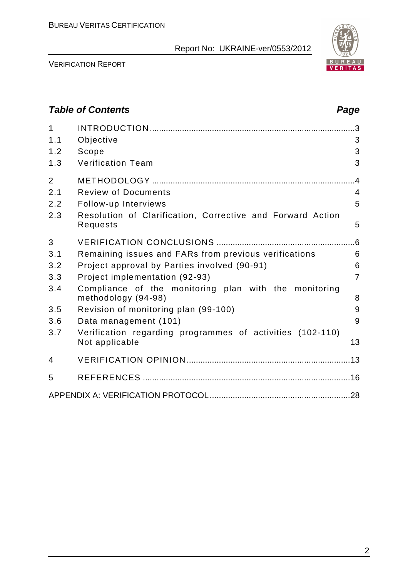

VERIFICATION REPORT

# **Table of Contents Page 2014** 1 INTRODUCTION ......................................................................................... 3 1.1 Objective 3 1.2 Scope 3 1.3 Verification Team 3 2 METHODOLOGY ........................................................................................ 4 2.1 Review of Documents 4 2.2 Follow-up Interviews 5 2.3 Resolution of Clarification, Corrective and Forward Action Requests 5 3 VERIFICATION CONCLUSIONS ............................................................ 6 3.1 Remaining issues and FARs from previous verifications 6 3.2 Project approval by Parties involved (90-91) 6 3.3 Project implementation (92-93) 7 3.4 Compliance of the monitoring plan with the monitoring methodology (94-98) 8 3.5 Revision of monitoring plan (99-100) 9 3.6 Data management (101) 9 3.7 Verification regarding programmes of activities (102-110) Not applicable 13 4 VERIFICATION OPINION ....................................................................... 13 5 REFERENCES .......................................................................................... 16 APPENDIX A: VERIFICATION PROTOCOL ............................................................. 28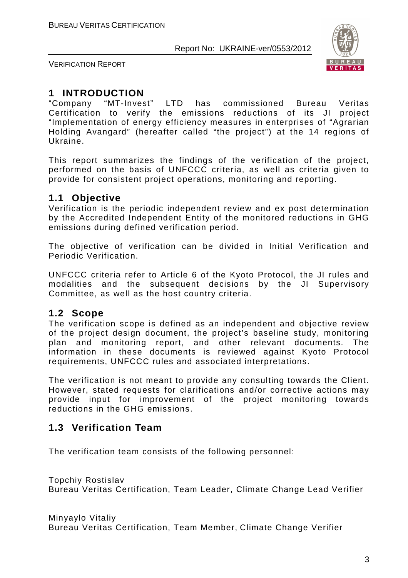

VERIFICATION REPORT

# **1 INTRODUCTION**

"Company "MT-Invest" LTD has commissioned Bureau Veritas Certification to verify the emissions reductions of its JI project "Implementation of energy efficiency measures in enterprises of "Agrarian Holding Avangard" (hereafter called "the project") at the 14 regions of Ukraine.

This report summarizes the findings of the verification of the project, performed on the basis of UNFCCC criteria, as well as criteria given to provide for consistent project operations, monitoring and reporting.

# **1.1 Objective**

Verification is the periodic independent review and ex post determination by the Accredited Independent Entity of the monitored reductions in GHG emissions during defined verification period.

The objective of verification can be divided in Initial Verification and Periodic Verification.

UNFCCC criteria refer to Article 6 of the Kyoto Protocol, the JI rules and modalities and the subsequent decisions by the JI Supervisory Committee, as well as the host country criteria.

# **1.2 Scope**

The verification scope is defined as an independent and objective review of the project design document, the project's baseline study, monitoring plan and monitoring report, and other relevant documents. The information in these documents is reviewed against Kyoto Protocol requirements, UNFCCC rules and associated interpretations.

The verification is not meant to provide any consulting towards the Client. However, stated requests for clarifications and/or corrective actions may provide input for improvement of the project monitoring towards reductions in the GHG emissions.

# **1.3 Verification Team**

The verification team consists of the following personnel:

Topchiy Rostislav Bureau Veritas Certification, Team Leader, Climate Change Lead Verifier

Minyaylo Vitaliy Bureau Veritas Certification, Team Member, Climate Change Verifier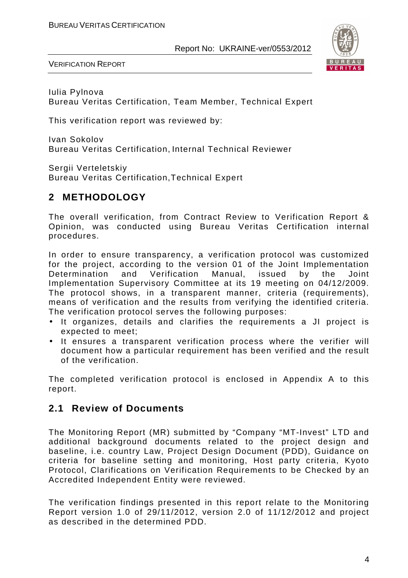

VERIFICATION REPORT

Iulia Pylnova Bureau Veritas Certification, Team Member, Technical Expert

This verification report was reviewed by:

Ivan Sokolov Bureau Veritas Certification, Internal Technical Reviewer

Sergii Verteletskiy Bureau Veritas Certification,Technical Expert

# **2 METHODOLOGY**

The overall verification, from Contract Review to Verification Report & Opinion, was conducted using Bureau Veritas Certification internal procedures.

In order to ensure transparency, a verification protocol was customized for the project, according to the version 01 of the Joint Implementation Determination and Verification Manual, issued by the Joint Implementation Supervisory Committee at its 19 meeting on 04/12/2009. The protocol shows, in a transparent manner, criteria (requirements), means of verification and the results from verifying the identified criteria. The verification protocol serves the following purposes:

- It organizes, details and clarifies the requirements a JI project is expected to meet;
- It ensures a transparent verification process where the verifier will document how a particular requirement has been verified and the result of the verification.

The completed verification protocol is enclosed in Appendix A to this report.

# **2.1 Review of Documents**

The Monitoring Report (MR) submitted by "Company "MT-Invest" LTD and additional background documents related to the project design and baseline, i.e. country Law, Project Design Document (PDD), Guidance on criteria for baseline setting and monitoring, Host party criteria, Kyoto Protocol, Clarifications on Verification Requirements to be Checked by an Accredited Independent Entity were reviewed.

The verification findings presented in this report relate to the Monitoring Report version 1.0 of 29/11/2012, version 2.0 of 11/12/2012 and project as described in the determined PDD.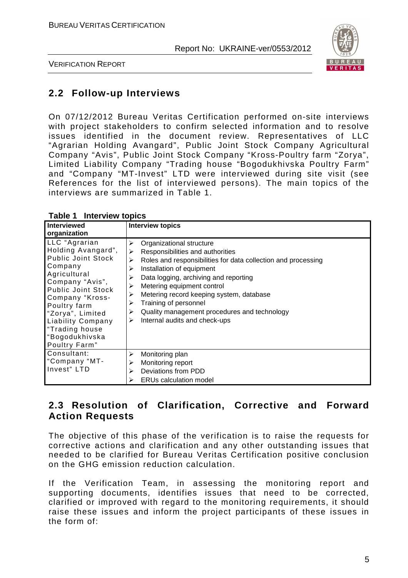

VERIFICATION REPORT

# **2.2 Follow-up Interviews**

On 07/12/2012 Bureau Veritas Certification performed on-site interviews with project stakeholders to confirm selected information and to resolve issues identified in the document review. Representatives of LLC "Agrarian Holding Avangard", Public Joint Stock Company Agricultural Company "Avis", Public Joint Stock Company "Kross-Poultry farm "Zorya", Limited Liability Company "Trading house "Bogodukhivska Poultry Farm" and "Company "MT-Invest" LTD were interviewed during site visit (see References for the list of interviewed persons). The main topics of the interviews are summarized in Table 1.

| <b>Interviewed</b>                                                                                                                                                                                                                                                           | <b>Interview topics</b>                                                                                                                                                                                                                                                                                                                                                                                                                   |
|------------------------------------------------------------------------------------------------------------------------------------------------------------------------------------------------------------------------------------------------------------------------------|-------------------------------------------------------------------------------------------------------------------------------------------------------------------------------------------------------------------------------------------------------------------------------------------------------------------------------------------------------------------------------------------------------------------------------------------|
| organization                                                                                                                                                                                                                                                                 |                                                                                                                                                                                                                                                                                                                                                                                                                                           |
| LLC "Agrarian<br>Holding Avangard",<br><b>Public Joint Stock</b><br>Company<br>Agricultural<br>Company "Avis",<br>Public Joint Stock<br>Company "Kross-<br>Poultry farm<br>"Zorya", Limited<br><b>Liability Company</b><br>"Trading house<br>"Bogodukhivska<br>Poultry Farm" | Organizational structure<br>⋗<br>Responsibilities and authorities<br>➤<br>Roles and responsibilities for data collection and processing<br>⋗<br>Installation of equipment<br>⋗<br>Data logging, archiving and reporting<br>⋗<br>Metering equipment control<br>⋗<br>Metering record keeping system, database<br>⋗<br>Training of personnel<br>⋗<br>Quality management procedures and technology<br>⋗<br>Internal audits and check-ups<br>➤ |
| Consultant:<br>"Company "MT-<br>Invest" LTD                                                                                                                                                                                                                                  | Monitoring plan<br>⋗<br>Monitoring report<br>⋗<br>Deviations from PDD<br>➤<br><b>ERUs calculation model</b><br>⋗                                                                                                                                                                                                                                                                                                                          |

#### **Table 1 Interview topics**

# **2.3 Resolution of Clarification, Corrective and Forward Action Requests**

The objective of this phase of the verification is to raise the requests for corrective actions and clarification and any other outstanding issues that needed to be clarified for Bureau Veritas Certification positive conclusion on the GHG emission reduction calculation.

If the Verification Team, in assessing the monitoring report and supporting documents, identifies issues that need to be corrected, clarified or improved with regard to the monitoring requirements, it should raise these issues and inform the project participants of these issues in the form of: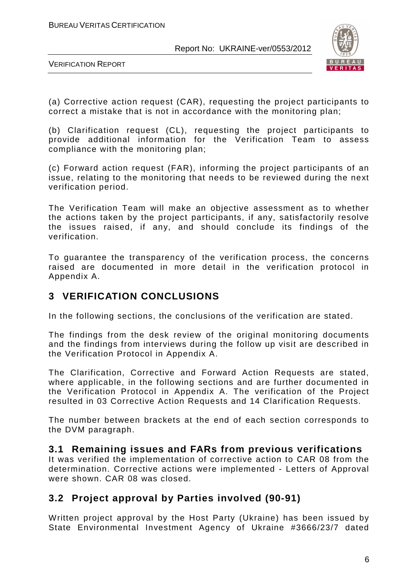

VERIFICATION REPORT

(a) Corrective action request (CAR), requesting the project participants to correct a mistake that is not in accordance with the monitoring plan;

(b) Clarification request (CL), requesting the project participants to provide additional information for the Verification Team to assess compliance with the monitoring plan;

(c) Forward action request (FAR), informing the project participants of an issue, relating to the monitoring that needs to be reviewed during the next verification period.

The Verification Team will make an objective assessment as to whether the actions taken by the project participants, if any, satisfactorily resolve the issues raised, if any, and should conclude its findings of the verification.

To guarantee the transparency of the verification process, the concerns raised are documented in more detail in the verification protocol in Appendix A.

# **3 VERIFICATION CONCLUSIONS**

In the following sections, the conclusions of the verification are stated.

The findings from the desk review of the original monitoring documents and the findings from interviews during the follow up visit are described in the Verification Protocol in Appendix A.

The Clarification, Corrective and Forward Action Requests are stated, where applicable, in the following sections and are further documented in the Verification Protocol in Appendix A. The verification of the Project resulted in 03 Corrective Action Requests and 14 Clarification Requests.

The number between brackets at the end of each section corresponds to the DVM paragraph.

# **3.1 Remaining issues and FARs from previous verifications**

It was verified the implementation of corrective action to CAR 08 from the determination. Corrective actions were implemented - Letters of Approval were shown. CAR 08 was closed.

# **3.2 Project approval by Parties involved (90-91)**

Written project approval by the Host Party (Ukraine) has been issued by State Environmental Investment Agency of Ukraine #3666/23/7 dated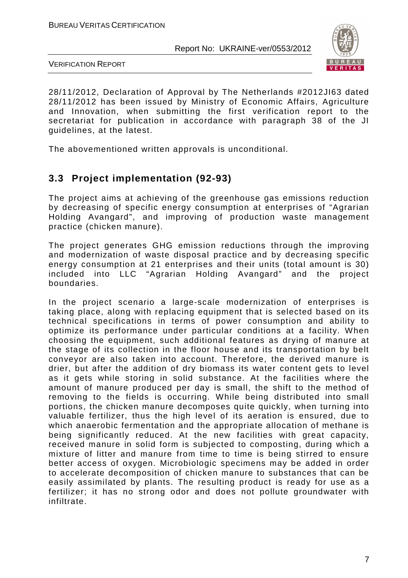

VERIFICATION REPORT

28/11/2012, Declaration of Approval by The Netherlands #2012JI63 dated 28/11/2012 has been issued by Ministry of Economic Affairs, Agriculture and Innovation, when submitting the first verification report to the secretariat for publication in accordance with paragraph 38 of the JI guidelines, at the latest.

The abovementioned written approvals is unconditional.

# **3.3 Project implementation (92-93)**

The project aims at achieving of the greenhouse gas emissions reduction by decreasing of specific energy consumption at enterprises of "Agrarian Holding Avangard", and improving of production waste management practice (chicken manure).

The project generates GHG emission reductions through the improving and modernization of waste disposal practice and by decreasing specific energy consumption at 21 enterprises and their units (total amount is 30) included into LLC "Agrarian Holding Avangard" and the project boundaries.

In the project scenario a large-scale modernization of enterprises is taking place, along with replacing equipment that is selected based on its technical specifications in terms of power consumption and ability to optimize its performance under particular conditions at a facility. When choosing the equipment, such additional features as drying of manure at the stage of its collection in the floor house and its transportation by belt conveyor are also taken into account. Therefore, the derived manure is drier, but after the addition of dry biomass its water content gets to level as it gets while storing in solid substance. At the facilities where the amount of manure produced per day is small, the shift to the method of removing to the fields is occurring. While being distributed into small portions, the chicken manure decomposes quite quickly, when turning into valuable fertilizer, thus the high level of its aeration is ensured, due to which anaerobic fermentation and the appropriate allocation of methane is being significantly reduced. At the new facilities with great capacity, received manure in solid form is subjected to composting, during which a mixture of litter and manure from time to time is being stirred to ensure better access of oxygen. Microbiologic specimens may be added in order to accelerate decomposition of chicken manure to substances that can be easily assimilated by plants. The resulting product is ready for use as a fertilizer; it has no strong odor and does not pollute groundwater with infiltrate.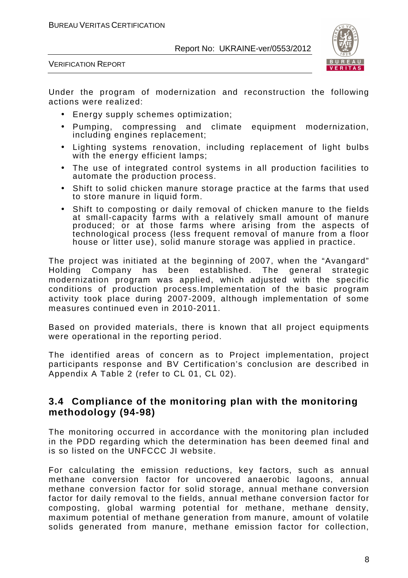

VERIFICATION REPORT

Under the program of modernization and reconstruction the following actions were realized:

- Energy supply schemes optimization;
- Pumping, compressing and climate equipment modernization, including engines replacement;
- Lighting systems renovation, including replacement of light bulbs with the energy efficient lamps;
- The use of integrated control systems in all production facilities to automate the production process.
- Shift to solid chicken manure storage practice at the farms that used to store manure in liquid form.
- Shift to composting or daily removal of chicken manure to the fields at small-capacity farms with a relatively small amount of manure produced; or at those farms where arising from the aspects of technological process (less frequent removal of manure from a floor house or litter use), solid manure storage was applied in practice.

The project was initiated at the beginning of 2007, when the "Avangard" Holding Company has been established. The general strategic modernization program was applied, which adjusted with the specific conditions of production process.Implementation of the basic program activity took place during 2007-2009, although implementation of some measures continued even in 2010-2011.

Based on provided materials, there is known that all project equipments were operational in the reporting period.

The identified areas of concern as to Project implementation, project participants response and BV Certification's conclusion are described in Appendix A Table 2 (refer to CL 01, CL 02).

# **3.4 Compliance of the monitoring plan with the monitoring methodology (94-98)**

The monitoring occurred in accordance with the monitoring plan included in the PDD regarding which the determination has been deemed final and is so listed on the UNFCCC JI website.

For calculating the emission reductions, key factors, such as annual methane conversion factor for uncovered anaerobic lagoons, annual methane conversion factor for solid storage, annual methane conversion factor for daily removal to the fields, annual methane conversion factor for composting, global warming potential for methane, methane density, maximum potential of methane generation from manure, amount of volatile solids generated from manure, methane emission factor for collection,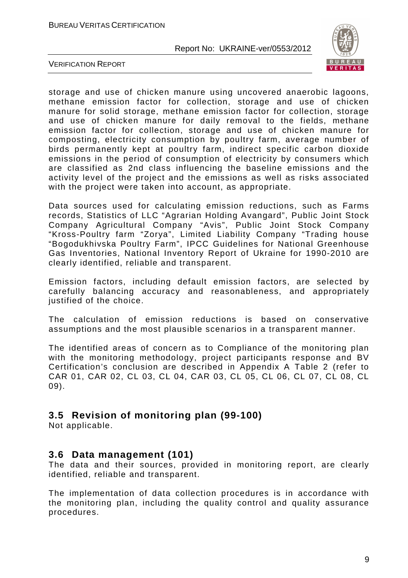

VERIFICATION REPORT

storage and use of chicken manure using uncovered anaerobic lagoons, methane emission factor for collection, storage and use of chicken manure for solid storage, methane emission factor for collection, storage and use of chicken manure for daily removal to the fields, methane emission factor for collection, storage and use of chicken manure for composting, electricity consumption by poultry farm, average number of birds permanently kept at poultry farm, indirect specific carbon dioxide emissions in the period of consumption of electricity by consumers which are classified as 2nd class influencing the baseline emissions and the activity level of the project and the emissions as well as risks associated with the project were taken into account, as appropriate.

Data sources used for calculating emission reductions, such as Farms records, Statistics of LLC "Agrarian Holding Avangard", Public Joint Stock Company Agricultural Company "Avis", Public Joint Stock Company "Kross-Poultry farm "Zorya", Limited Liability Company "Trading house "Bogodukhivska Poultry Farm", IPCC Guidelines for National Greenhouse Gas Inventories, National Inventory Report of Ukraine for 1990-2010 are clearly identified, reliable and transparent.

Emission factors, including default emission factors, are selected by carefully balancing accuracy and reasonableness, and appropriately justified of the choice.

The calculation of emission reductions is based on conservative assumptions and the most plausible scenarios in a transparent manner.

The identified areas of concern as to Compliance of the monitoring plan with the monitoring methodology, project participants response and BV Certification's conclusion are described in Appendix A Table 2 (refer to CAR 01, CAR 02, CL 03, CL 04, CAR 03, CL 05, CL 06, CL 07, CL 08, CL 09).

# **3.5 Revision of monitoring plan (99-100)**

Not applicable.

## **3.6 Data management (101)**

The data and their sources, provided in monitoring report, are clearly identified, reliable and transparent.

The implementation of data collection procedures is in accordance with the monitoring plan, including the quality control and quality assurance procedures.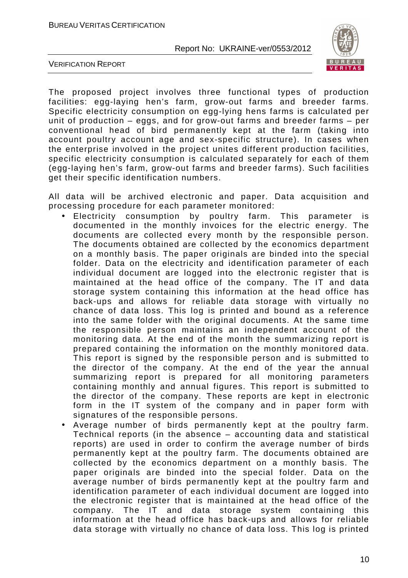

VERIFICATION REPORT

The proposed project involves three functional types of production facilities: egg-laying hen's farm, grow-out farms and breeder farms. Specific electricity consumption on egg-lying hens farms is calculated per unit of production – eggs, and for grow-out farms and breeder farms – per conventional head of bird permanently kept at the farm (taking into account poultry account age and sex-specific structure). In cases when the enterprise involved in the project unites different production facilities, specific electricity consumption is calculated separately for each of them (egg-laying hen's farm, grow-out farms and breeder farms). Such facilities get their specific identification numbers.

All data will be archived electronic and paper. Data acquisition and processing procedure for each parameter monitored:

- Electricity consumption by poultry farm. This parameter is documented in the monthly invoices for the electric energy. The documents are collected every month by the responsible person. The documents obtained are collected by the economics department on a monthly basis. The paper originals are binded into the special folder. Data on the electricity and identification parameter of each individual document are logged into the electronic register that is maintained at the head office of the company. The IT and data storage system containing this information at the head office has back-ups and allows for reliable data storage with virtually no chance of data loss. This log is printed and bound as a reference into the same folder with the original documents. At the same time the responsible person maintains an independent account of the monitoring data. At the end of the month the summarizing report is prepared containing the information on the monthly monitored data. This report is signed by the responsible person and is submitted to the director of the company. At the end of the year the annual summarizing report is prepared for all monitoring parameters containing monthly and annual figures. This report is submitted to the director of the company. These reports are kept in electronic form in the IT system of the company and in paper form with signatures of the responsible persons.
- Average number of birds permanently kept at the poultry farm. Technical reports (in the absence – accounting data and statistical reports) are used in order to confirm the average number of birds permanently kept at the poultry farm. The documents obtained are collected by the economics department on a monthly basis. The paper originals are binded into the special folder. Data on the average number of birds permanently kept at the poultry farm and identification parameter of each individual document are logged into the electronic register that is maintained at the head office of the company. The IT and data storage system containing this information at the head office has back-ups and allows for reliable data storage with virtually no chance of data loss. This log is printed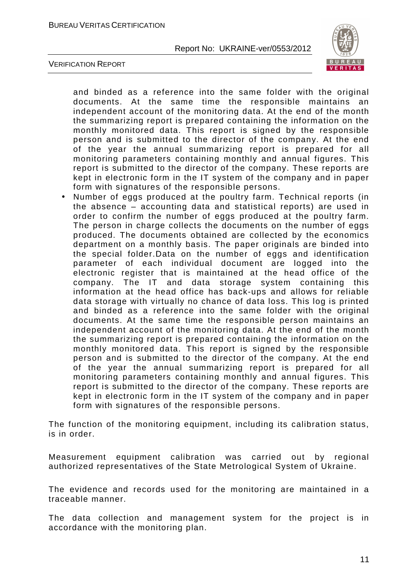

VERIFICATION REPORT

and binded as a reference into the same folder with the original documents. At the same time the responsible maintains an independent account of the monitoring data. At the end of the month the summarizing report is prepared containing the information on the monthly monitored data. This report is signed by the responsible person and is submitted to the director of the company. At the end of the year the annual summarizing report is prepared for all monitoring parameters containing monthly and annual figures. This report is submitted to the director of the company. These reports are kept in electronic form in the IT system of the company and in paper form with signatures of the responsible persons.

• Number of eggs produced at the poultry farm. Technical reports (in the absence – accounting data and statistical reports) are used in order to confirm the number of eggs produced at the poultry farm. The person in charge collects the documents on the number of eggs produced. The documents obtained are collected by the economics department on a monthly basis. The paper originals are binded into the special folder.Data on the number of eggs and identification parameter of each individual document are logged into the electronic register that is maintained at the head office of the company. The IT and data storage system containing this information at the head office has back-ups and allows for reliable data storage with virtually no chance of data loss. This log is printed and binded as a reference into the same folder with the original documents. At the same time the responsible person maintains an independent account of the monitoring data. At the end of the month the summarizing report is prepared containing the information on the monthly monitored data. This report is signed by the responsible person and is submitted to the director of the company. At the end of the year the annual summarizing report is prepared for all monitoring parameters containing monthly and annual figures. This report is submitted to the director of the company. These reports are kept in electronic form in the IT system of the company and in paper form with signatures of the responsible persons.

The function of the monitoring equipment, including its calibration status, is in order.

Measurement equipment calibration was carried out by regional authorized representatives of the State Metrological System of Ukraine.

The evidence and records used for the monitoring are maintained in a traceable manner.

The data collection and management system for the project is in accordance with the monitoring plan.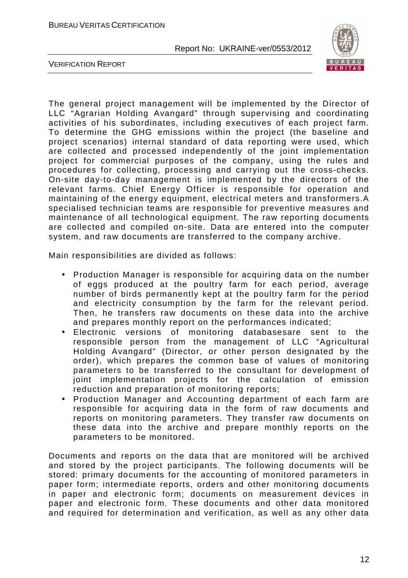

VERIFICATION REPORT

The general project management will be implemented by the Director of LLC "Agrarian Holding Avangard" through supervising and coordinating activities of his subordinates, including executives of each project farm. To determine the GHG emissions within the project (the baseline and project scenarios) internal standard of data reporting were used, which are collected and processed independently of the joint implementation project for commercial purposes of the company, using the rules and procedures for collecting, processing and carrying out the cross-checks. On-site day-to-day management is implemented by the directors of the relevant farms. Chief Energy Officer is responsible for operation and maintaining of the energy equipment, electrical meters and transformers.A specialised technician teams are responsible for preventive measures and maintenance of all technological equipment. The raw reporting documents are collected and compiled on-site. Data are entered into the computer system, and raw documents are transferred to the company archive.

Main responsibilities are divided as follows:

- Production Manager is responsible for acquiring data on the number of eggs produced at the poultry farm for each period, average number of birds permanently kept at the poultry farm for the period and electricity consumption by the farm for the relevant period. Then, he transfers raw documents on these data into the archive and prepares monthly report on the performances indicated;
- Electronic versions of monitoring databasesare sent to the responsible person from the management of LLC "Agricultural Holding Avangard" (Director, or other person designated by the order), which prepares the common base of values of monitoring parameters to be transferred to the consultant for development of joint implementation projects for the calculation of emission reduction and preparation of monitoring reports;
- Production Manager and Accounting department of each farm are responsible for acquiring data in the form of raw documents and reports on monitoring parameters. They transfer raw documents on these data into the archive and prepare monthly reports on the parameters to be monitored.

Documents and reports on the data that are monitored will be archived and stored by the project participants. The following documents will be stored: primary documents for the accounting of monitored parameters in paper form; intermediate reports, orders and other monitoring documents in paper and electronic form; documents on measurement devices in paper and electronic form. These documents and other data monitored and required for determination and verification, as well as any other data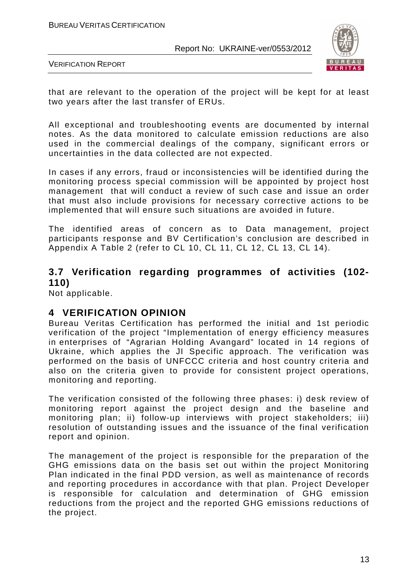

VERIFICATION REPORT

that are relevant to the operation of the project will be kept for at least two years after the last transfer of ERUs.

All exceptional and troubleshooting events are documented by internal notes. As the data monitored to calculate emission reductions are also used in the commercial dealings of the company, significant errors or uncertainties in the data collected are not expected.

In cases if any errors, fraud or inconsistencies will be identified during the monitoring process special commission will be appointed by project host management that will conduct a review of such case and issue an order that must also include provisions for necessary corrective actions to be implemented that will ensure such situations are avoided in future.

The identified areas of concern as to Data management, project participants response and BV Certification's conclusion are described in Appendix A Table 2 (refer to CL 10, CL 11, CL 12, CL 13, CL 14).

# **3.7 Verification regarding programmes of activities (102- 110)**

Not applicable.

## **4 VERIFICATION OPINION**

Bureau Veritas Certification has performed the initial and 1st periodic verification of the project "Implementation of energy efficiency measures in enterprises of "Agrarian Holding Avangard" located in 14 regions of Ukraine, which applies the JI Specific approach. The verification was performed on the basis of UNFCCC criteria and host country criteria and also on the criteria given to provide for consistent project operations, monitoring and reporting.

The verification consisted of the following three phases: i) desk review of monitoring report against the project design and the baseline and monitoring plan; ii) follow-up interviews with project stakeholders; iii) resolution of outstanding issues and the issuance of the final verification report and opinion.

The management of the project is responsible for the preparation of the GHG emissions data on the basis set out within the project Monitoring Plan indicated in the final PDD version, as well as maintenance of records and reporting procedures in accordance with that plan. Project Developer is responsible for calculation and determination of GHG emission reductions from the project and the reported GHG emissions reductions of the project.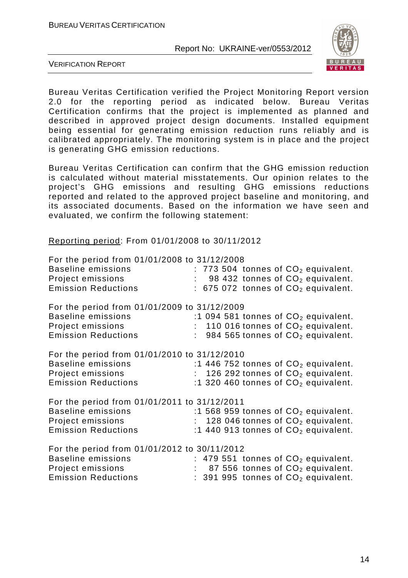

VERIFICATION REPORT

Bureau Veritas Certification verified the Project Monitoring Report version 2.0 for the reporting period as indicated below. Bureau Veritas Certification confirms that the project is implemented as planned and described in approved project design documents. Installed equipment being essential for generating emission reduction runs reliably and is calibrated appropriately. The monitoring system is in place and the project is generating GHG emission reductions.

Bureau Veritas Certification can confirm that the GHG emission reduction is calculated without material misstatements. Our opinion relates to the project's GHG emissions and resulting GHG emissions reductions reported and related to the approved project baseline and monitoring, and its associated documents. Based on the information we have seen and evaluated, we confirm the following statement:

Reporting period: From 01/01/2008 to 30/11/2012

| For the period from 01/01/2008 to 31/12/2008 |  |                                               |  |  |
|----------------------------------------------|--|-----------------------------------------------|--|--|
| <b>Baseline emissions</b>                    |  | $: 773504$ tonnes of $CO2$ equivalent.        |  |  |
| Project emissions                            |  | 98 432 tonnes of CO <sub>2</sub> equivalent.  |  |  |
| <b>Emission Reductions</b>                   |  | : 675 072 tonnes of $CO2$ equivalent.         |  |  |
| For the period from 01/01/2009 to 31/12/2009 |  |                                               |  |  |
| <b>Baseline emissions</b>                    |  | :1 094 581 tonnes of $CO2$ equivalent.        |  |  |
| Project emissions                            |  | 110 016 tonnes of $CO2$ equivalent.           |  |  |
| <b>Emission Reductions</b>                   |  | 984 565 tonnes of CO <sub>2</sub> equivalent. |  |  |
| For the period from 01/01/2010 to 31/12/2010 |  |                                               |  |  |
| <b>Baseline emissions</b>                    |  | :1 446 752 tonnes of $CO2$ equivalent.        |  |  |
| Project emissions                            |  | 126 292 tonnes of $CO2$ equivalent.           |  |  |
| <b>Emission Reductions</b>                   |  | :1 320 460 tonnes of $CO2$ equivalent.        |  |  |
| For the period from 01/01/2011 to 31/12/2011 |  |                                               |  |  |
| <b>Baseline emissions</b>                    |  | :1 568 959 tonnes of $CO2$ equivalent.        |  |  |
| Project emissions                            |  | 128 046 tonnes of CO <sub>2</sub> equivalent. |  |  |
| <b>Emission Reductions</b>                   |  | :1 440 913 tonnes of $CO2$ equivalent.        |  |  |
| For the period from 01/01/2012 to 30/11/2012 |  |                                               |  |  |
| <b>Baseline emissions</b>                    |  | : 479 551 tonnes of $CO2$ equivalent.         |  |  |
| Project emissions                            |  | 87 556 tonnes of CO <sub>2</sub> equivalent.  |  |  |
| <b>Emission Reductions</b>                   |  | $: 391995$ tonnes of $CO2$ equivalent.        |  |  |
|                                              |  |                                               |  |  |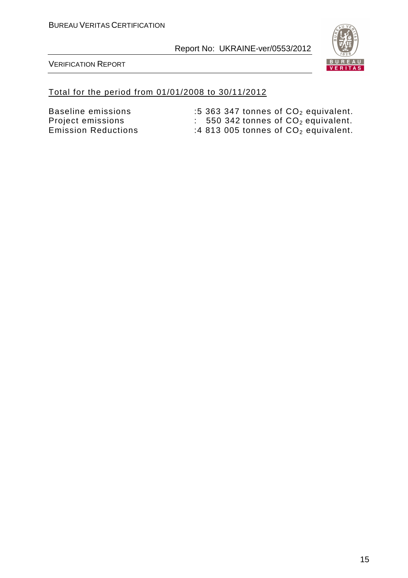

VERIFICATION REPORT

#### Total for the period from 01/01/2008 to 30/11/2012

Emission Reductions  $\qquad \qquad :4\;813\;005$  tonnes of  $\rm CO_2$  equivalent.

Baseline emissions  $\qquad \qquad :5\; 363\; 347$  tonnes of  $\mathsf{CO}_{2}$  equivalent. Project emissions  $\qquad \qquad : \qquad 550\;342 \; \text{tonnes of } \; \text{CO}_2 \; \text{equivalent}.$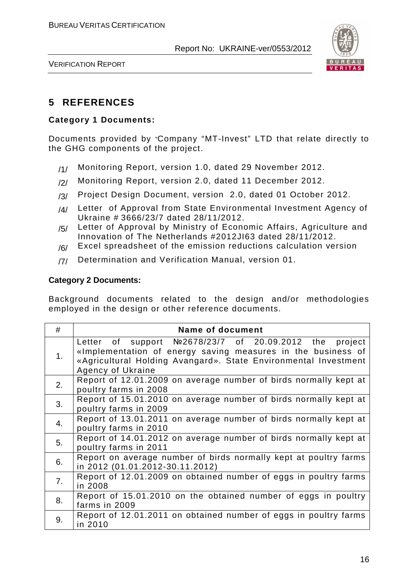

VERIFICATION REPORT

# **5 REFERENCES**

#### **Category 1 Documents:**

Documents provided by "Company "MT-Invest" LTD that relate directly to the GHG components of the project.

- /1/ Monitoring Report, version 1.0, dated 29 November 2012.
- /2/ Monitoring Report, version 2.0, dated 11 December 2012.
- /3/ Project Design Document, version 2.0, dated 01 October 2012.
- /4/ Letter of Approval from State Environmental Investment Agency of Ukraine # 3666/23/7 dated 28/11/2012.
- /5/ Letter of Approval by Ministry of Economic Affairs, Agriculture and Innovation of The Netherlands #2012JI63 dated 28/11/2012.
- $/6/$  Excel spreadsheet of the emission reductions calculation version
- /7/ Determination and Verification Manual, version 01.

#### **Category 2 Documents:**

Background documents related to the design and/or methodologies employed in the design or other reference documents.

| #              | <b>Name of document</b>                                                                                                                                                                                          |
|----------------|------------------------------------------------------------------------------------------------------------------------------------------------------------------------------------------------------------------|
| 1 <sub>1</sub> | Letter of support $N2678/23/7$ of 20.09.2012 the project<br>«Implementation of energy saving measures in the business of<br>«Agricultural Holding Avangard». State Environmental Investment<br>Agency of Ukraine |
| 2.             | Report of 12.01.2009 on average number of birds normally kept at<br>poultry farms in 2008                                                                                                                        |
| 3.             | Report of 15.01.2010 on average number of birds normally kept at<br>poultry farms in 2009                                                                                                                        |
| 4.             | Report of 13.01.2011 on average number of birds normally kept at<br>poultry farms in 2010                                                                                                                        |
| 5.             | Report of 14.01.2012 on average number of birds normally kept at<br>poultry farms in 2011                                                                                                                        |
| 6.             | Report on average number of birds normally kept at poultry farms<br>in 2012 (01.01.2012-30.11.2012)                                                                                                              |
| 7.             | Report of 12.01.2009 on obtained number of eggs in poultry farms<br>in 2008                                                                                                                                      |
| 8.             | Report of 15.01.2010 on the obtained number of eggs in poultry<br>farms in 2009                                                                                                                                  |
| 9.             | Report of 12.01.2011 on obtained number of eggs in poultry farms<br>in 2010                                                                                                                                      |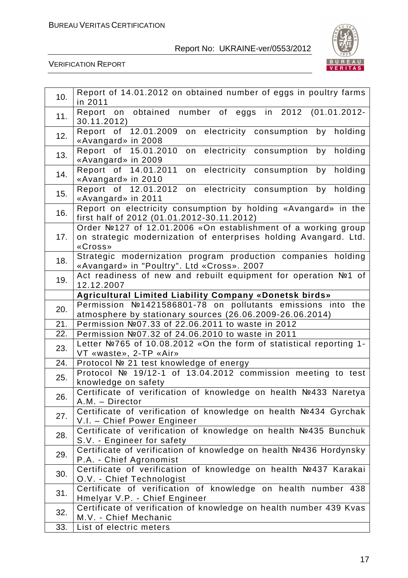

| 10. | Report of 14.01.2012 on obtained number of eggs in poultry farms<br>in 2011                                                                  |
|-----|----------------------------------------------------------------------------------------------------------------------------------------------|
| 11. | Report on obtained<br>number of eggs in 2012<br>$(01.01.2012 -$<br>30.11.2012)                                                               |
| 12. | Report of 12.01.2009<br>electricity consumption by holding<br>on<br>«Avangard» in 2008                                                       |
| 13. | Report of 15.01.2010<br>by holding<br>on electricity consumption<br>«Avangard» in 2009                                                       |
| 14. | Report of 14.01.2011<br>electricity consumption<br>by<br>holding<br>on<br>«Avangard» in 2010                                                 |
| 15. | Report of 12.01.2012<br>on electricity consumption<br>by holding<br>«Avangard» in 2011                                                       |
| 16. | Report on electricity consumption by holding «Avangard» in the<br>first half of 2012 (01.01.2012-30.11.2012)                                 |
| 17. | Order №127 of 12.01.2006 «On establishment of a working group<br>on strategic modernization of enterprises holding Avangard. Ltd.<br>«Cross» |
| 18. | Strategic modernization program production companies holding<br>«Avangard» in "Poultry". Ltd «Cross». 2007                                   |
| 19. | Act readiness of new and rebuilt equipment for operation Nº1 of<br>12.12.2007                                                                |
|     | <b>Agricultural Limited Liability Company «Donetsk birds»</b>                                                                                |
| 20. | Permission №1421586801-78 on pollutants emissions into the<br>atmosphere by stationary sources (26.06.2009-26.06.2014)                       |
| 21. | Permission №07.33 of 22.06.2011 to waste in 2012                                                                                             |
| 22. | Permission №07.32 of 24.06.2010 to waste in 2011                                                                                             |
| 23. | Letter №765 of 10.08.2012 «On the form of statistical reporting 1-<br>VT «waste», 2-TP «Air»                                                 |
| 24. | Protocol № 21 test knowledge of energy                                                                                                       |
| 25. | Protocol Nº 19/12-1 of 13.04.2012 commission meeting to test<br>knowledge on safety                                                          |
| 26. | Certificate of verification of knowledge on health Nº433 Naretya<br>A.M. - Director                                                          |
| 27. | Certificate of verification of knowledge on health №434 Gyrchak<br>V.I. - Chief Power Engineer                                               |
| 28. | Certificate of verification of knowledge on health Nº435 Bunchuk<br>S.V. - Engineer for safety                                               |
| 29. | Certificate of verification of knowledge on health №436 Hordynsky<br>P.A. - Chief Agronomist                                                 |
| 30. | Certificate of verification of knowledge on health №437 Karakai<br>O.V. - Chief Technologist                                                 |
| 31. | Certificate of verification of knowledge on health number 438<br>Hmelyar V.P. - Chief Engineer                                               |
| 32. | Certificate of verification of knowledge on health number 439 Kvas<br>M.V. - Chief Mechanic                                                  |
| 33. | List of electric meters                                                                                                                      |
|     |                                                                                                                                              |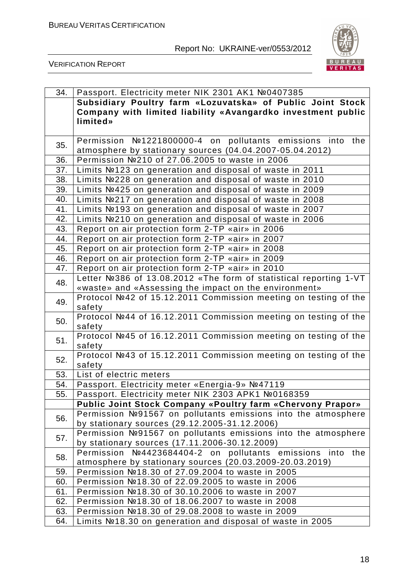

| 34. | Passport. Electricity meter NIK 2301 AK1 №0407385                                                              |
|-----|----------------------------------------------------------------------------------------------------------------|
|     | Subsidiary Poultry farm «Lozuvatska» of Public Joint Stock                                                     |
|     | Company with limited liability «Avangardko investment public                                                   |
|     | limited»                                                                                                       |
|     |                                                                                                                |
| 35. | Permission №1221800000-4 on pollutants emissions into the                                                      |
|     | atmosphere by stationary sources (04.04.2007-05.04.2012)                                                       |
| 36. | Permission №210 of 27.06.2005 to waste in 2006                                                                 |
| 37. | Limits Nº123 on generation and disposal of waste in 2011                                                       |
| 38. | Limits Nº228 on generation and disposal of waste in 2010                                                       |
| 39. | Limits Nº425 on generation and disposal of waste in 2009                                                       |
| 40. | Limits №217 on generation and disposal of waste in 2008                                                        |
| 41. | Limits №193 on generation and disposal of waste in 2007                                                        |
| 42. | Limits №210 on generation and disposal of waste in 2006                                                        |
| 43. | Report on air protection form 2-TP «air» in 2006                                                               |
| 44. | Report on air protection form 2-TP «air» in 2007                                                               |
| 45. | Report on air protection form 2-TP «air» in 2008                                                               |
| 46. | Report on air protection form 2-TP «air» in 2009                                                               |
| 47. | Report on air protection form 2-TP «air» in 2010                                                               |
| 48. | Letter №386 of 13.08.2012 «The form of statistical reporting 1-VT                                              |
|     | «waste» and «Assessing the impact on the environment»                                                          |
| 49. | Protocol №42 of 15.12.2011 Commission meeting on testing of the                                                |
|     | safety                                                                                                         |
| 50. | Protocol №44 of 16.12.2011 Commission meeting on testing of the                                                |
|     | safety                                                                                                         |
| 51. | Protocol №45 of 16.12.2011 Commission meeting on testing of the                                                |
|     | safety                                                                                                         |
| 52. | Protocol №43 of 15.12.2011 Commission meeting on testing of the                                                |
|     | safety                                                                                                         |
| 53. | List of electric meters                                                                                        |
| 54. | Passport. Electricity meter «Energia-9» №47119                                                                 |
| 55. | Passport. Electricity meter NIK 2303 APK1 №0168359                                                             |
|     | <b>Public Joint Stock Company «Poultry farm «Chervony Prapor»</b>                                              |
| 56. | Permission №91567 on pollutants emissions into the atmosphere<br>by stationary sources (29.12.2005-31.12.2006) |
|     | Permission №91567 on pollutants emissions into the atmosphere                                                  |
| 57. | by stationary sources (17.11.2006-30.12.2009)                                                                  |
|     | Permission №4423684404-2 on pollutants emissions into the                                                      |
| 58. | atmosphere by stationary sources (20.03.2009-20.03.2019)                                                       |
| 59. | Permission №18.30 of 27.09.2004 to waste in 2005                                                               |
| 60. | Permission №18.30 of 22.09.2005 to waste in 2006                                                               |
| 61. | Permission №18.30 of 30.10.2006 to waste in 2007                                                               |
| 62. | Permission №18.30 of 18.06.2007 to waste in 2008                                                               |
| 63. | Permission №18.30 of 29.08.2008 to waste in 2009                                                               |
| 64. | Limits №18.30 on generation and disposal of waste in 2005                                                      |
|     |                                                                                                                |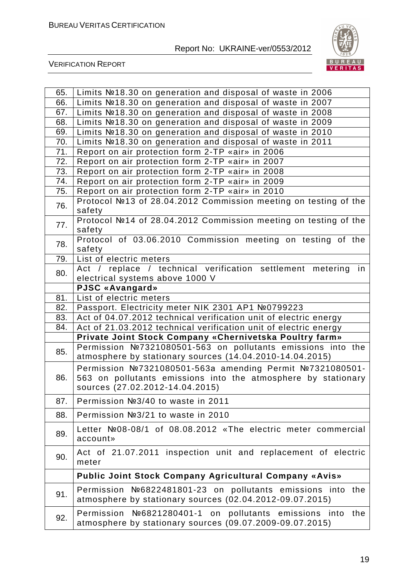

| 65. | Limits Nº18.30 on generation and disposal of waste in 2006                                                                                                   |
|-----|--------------------------------------------------------------------------------------------------------------------------------------------------------------|
| 66. | Limits №18.30 on generation and disposal of waste in 2007                                                                                                    |
| 67. | Limits №18.30 on generation and disposal of waste in 2008                                                                                                    |
| 68. | Limits №18.30 on generation and disposal of waste in 2009                                                                                                    |
| 69. | Limits №18.30 on generation and disposal of waste in 2010                                                                                                    |
| 70. | Limits №18.30 on generation and disposal of waste in 2011                                                                                                    |
| 71. | Report on air protection form 2-TP «air» in 2006                                                                                                             |
| 72. | Report on air protection form 2-TP «air» in 2007                                                                                                             |
| 73. | Report on air protection form 2-TP «air» in 2008                                                                                                             |
| 74. | Report on air protection form 2-TP «air» in 2009                                                                                                             |
| 75. | Report on air protection form 2-TP «air» in 2010                                                                                                             |
| 76. | Protocol №13 of 28.04.2012 Commission meeting on testing of the<br>safety                                                                                    |
| 77. | Protocol №14 of 28.04.2012 Commission meeting on testing of the<br>safety                                                                                    |
| 78. | Protocol of 03.06.2010 Commission meeting on testing of the                                                                                                  |
|     | safety                                                                                                                                                       |
| 79. | List of electric meters                                                                                                                                      |
| 80. | Act / replace / technical verification settlement metering<br>in                                                                                             |
|     | electrical systems above 1000 V                                                                                                                              |
|     | <b>PJSC «Avangard»</b>                                                                                                                                       |
| 81. | List of electric meters                                                                                                                                      |
| 82. | Passport. Electricity meter NIK 2301 AP1 №0799223                                                                                                            |
| 83. | Act of 04.07.2012 technical verification unit of electric energy                                                                                             |
| 84. | Act of 21.03.2012 technical verification unit of electric energy                                                                                             |
|     | Private Joint Stock Company «Chernivetska Poultry farm»                                                                                                      |
| 85. | Permission №7321080501-563 on pollutants emissions into the<br>atmosphere by stationary sources (14.04.2010-14.04.2015)                                      |
| 86. | Permission №7321080501-563a amending Permit №7321080501-<br>563 on pollutants emissions into the atmosphere by stationary<br>sources (27.02.2012-14.04.2015) |
| 87. | Permission №3/40 to waste in 2011                                                                                                                            |
| 88. | Permission №3/21 to waste in 2010                                                                                                                            |
| 89. | Letter Nº08-08/1 of 08.08.2012 «The electric meter commercial<br>account»                                                                                    |
| 90. | Act of 21.07.2011 inspection unit and replacement of electric<br>meter                                                                                       |
|     | <b>Public Joint Stock Company Agricultural Company «Avis»</b>                                                                                                |
| 91. | Permission №6822481801-23 on pollutants emissions into the<br>atmosphere by stationary sources (02.04.2012-09.07.2015)                                       |
| 92. | Permission №6821280401-1 on pollutants emissions into the<br>atmosphere by stationary sources (09.07.2009-09.07.2015)                                        |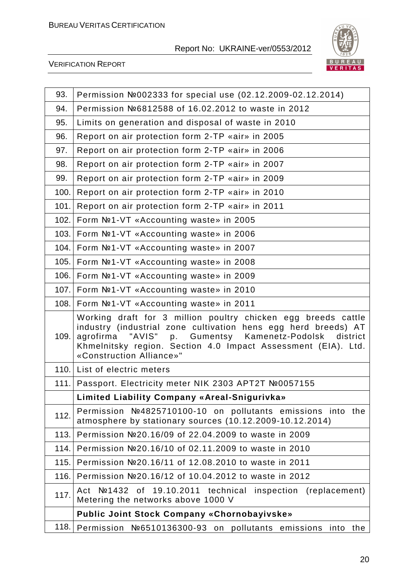

| 93.   | Permission Nº002333 for special use (02.12.2009-02.12.2014)                                                                                                                                                                                                                               |
|-------|-------------------------------------------------------------------------------------------------------------------------------------------------------------------------------------------------------------------------------------------------------------------------------------------|
| 94.   | Permission №6812588 of 16.02.2012 to waste in 2012                                                                                                                                                                                                                                        |
| 95.   | Limits on generation and disposal of waste in 2010                                                                                                                                                                                                                                        |
| 96.   | Report on air protection form 2-TP «air» in 2005                                                                                                                                                                                                                                          |
| 97.   | Report on air protection form 2-TP «air» in 2006                                                                                                                                                                                                                                          |
| 98.   | Report on air protection form 2-TP «air» in 2007                                                                                                                                                                                                                                          |
| 99.   | Report on air protection form 2-TP «air» in 2009                                                                                                                                                                                                                                          |
| 100.  | Report on air protection form 2-TP «air» in 2010                                                                                                                                                                                                                                          |
| 101.  | Report on air protection form 2-TP «air» in 2011                                                                                                                                                                                                                                          |
| 102.  | Form Nº1-VT «Accounting waste» in 2005                                                                                                                                                                                                                                                    |
| 103.  | Form Nº1-VT «Accounting waste» in 2006                                                                                                                                                                                                                                                    |
| 104.  | Form Nº1-VT «Accounting waste» in 2007                                                                                                                                                                                                                                                    |
| 105.  | Form Nº1-VT «Accounting waste» in 2008                                                                                                                                                                                                                                                    |
| 106.  | Form Nº1-VT «Accounting waste» in 2009                                                                                                                                                                                                                                                    |
|       | 107. Form Nº1-VT «Accounting waste» in 2010                                                                                                                                                                                                                                               |
| 108.1 | Form Nº1-VT «Accounting waste» in 2011                                                                                                                                                                                                                                                    |
| 109.  | Working draft for 3 million poultry chicken egg breeds cattle<br>industry (industrial zone cultivation hens egg herd breeds) AT<br>"AVIS" p. Gumentsy Kamenetz-Podolsk district<br>agrofirma<br>Khmelnitsky region. Section 4.0 Impact Assessment (EIA). Ltd.<br>«Construction Alliance»" |
|       | 110. List of electric meters                                                                                                                                                                                                                                                              |
|       | 111. Passport. Electricity meter NIK 2303 APT2T №0057155                                                                                                                                                                                                                                  |
|       | <b>Limited Liability Company «Areal-Snigurivka»</b>                                                                                                                                                                                                                                       |
| 112.  | Permission №4825710100-10 on pollutants emissions into the<br>atmosphere by stationary sources (10.12.2009-10.12.2014)                                                                                                                                                                    |
| 113.  | Permission №20.16/09 of 22.04.2009 to waste in 2009                                                                                                                                                                                                                                       |
| 114.  | Permission №20.16/10 of 02.11.2009 to waste in 2010                                                                                                                                                                                                                                       |
| 115.  | Permission Nº20.16/11 of 12.08.2010 to waste in 2011                                                                                                                                                                                                                                      |
| 116.  | Permission Nº20.16/12 of 10.04.2012 to waste in 2012                                                                                                                                                                                                                                      |
| 117.  | Note 1432 of 19.10.2011 technical inspection<br>Act<br>(replacement)<br>Metering the networks above 1000 V                                                                                                                                                                                |
|       | <b>Public Joint Stock Company «Chornobayivske»</b>                                                                                                                                                                                                                                        |
| 118.  | Permission<br>Nº6510136300-93 on pollutants emissions<br>into<br>the                                                                                                                                                                                                                      |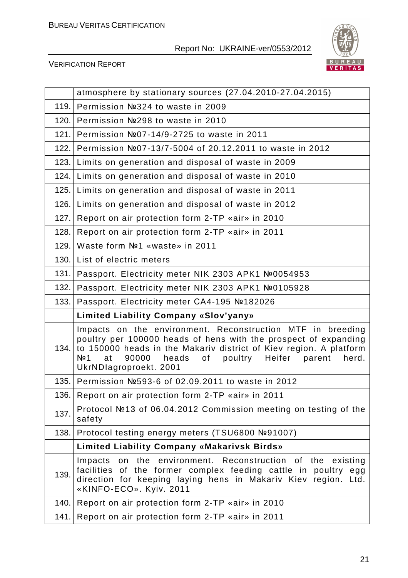

|       | atmosphere by stationary sources (27.04.2010-27.04.2015)                                                                                                                                                                                                                                                             |
|-------|----------------------------------------------------------------------------------------------------------------------------------------------------------------------------------------------------------------------------------------------------------------------------------------------------------------------|
| 119.  | Permission №324 to waste in 2009                                                                                                                                                                                                                                                                                     |
| 120.1 | Permission №298 to waste in 2010                                                                                                                                                                                                                                                                                     |
| 121.  | Permission №07-14/9-2725 to waste in 2011                                                                                                                                                                                                                                                                            |
| 122.  | Permission №07-13/7-5004 of 20.12.2011 to waste in 2012                                                                                                                                                                                                                                                              |
| 123.  | Limits on generation and disposal of waste in 2009                                                                                                                                                                                                                                                                   |
| 124.  | Limits on generation and disposal of waste in 2010                                                                                                                                                                                                                                                                   |
| 125.  | Limits on generation and disposal of waste in 2011                                                                                                                                                                                                                                                                   |
| 126.  | Limits on generation and disposal of waste in 2012                                                                                                                                                                                                                                                                   |
| 127.  | Report on air protection form 2-TP «air» in 2010                                                                                                                                                                                                                                                                     |
| 128.  | Report on air protection form 2-TP «air» in 2011                                                                                                                                                                                                                                                                     |
| 129.  | Waste form Nº1 «waste» in 2011                                                                                                                                                                                                                                                                                       |
| 130.  | List of electric meters                                                                                                                                                                                                                                                                                              |
| 131.  | Passport. Electricity meter NIK 2303 APK1 №0054953                                                                                                                                                                                                                                                                   |
| 132.  | Passport. Electricity meter NIK 2303 APK1 №0105928                                                                                                                                                                                                                                                                   |
| 133.  | Passport. Electricity meter CA4-195 №182026                                                                                                                                                                                                                                                                          |
|       | <b>Limited Liability Company «Slov'yany»</b>                                                                                                                                                                                                                                                                         |
|       |                                                                                                                                                                                                                                                                                                                      |
| 134.  | Impacts on the environment. Reconstruction MTF in breeding<br>poultry per 100000 heads of hens with the prospect of expanding<br>to 150000 heads in the Makariv district of Kiev region. A platform<br>N <sub>2</sub> 1<br>heads<br>poultry<br>at<br>90000<br>of<br>Heifer parent<br>herd.<br>UkrNDlagroproekt. 2001 |
| 135.  | Permission №593-6 of 02.09.2011 to waste in 2012                                                                                                                                                                                                                                                                     |
|       | 136. Report on air protection form 2-TP «air» in 2011                                                                                                                                                                                                                                                                |
| 137.  | Protocol №13 of 06.04.2012 Commission meeting on testing of the<br>safety                                                                                                                                                                                                                                            |
| 138.  | Protocol testing energy meters (TSU6800 №91007)                                                                                                                                                                                                                                                                      |
|       | <b>Limited Liability Company «Makarivsk Birds»</b>                                                                                                                                                                                                                                                                   |
| 139.  | on the environment. Reconstruction of the<br>Impacts<br>existing<br>facilities of the former complex feeding cattle in poultry<br>egg<br>direction for keeping laying hens in Makariv Kiev region. Ltd.<br>«KINFO-ECO». Kyiv. 2011                                                                                   |
| 140.  | Report on air protection form 2-TP «air» in 2010                                                                                                                                                                                                                                                                     |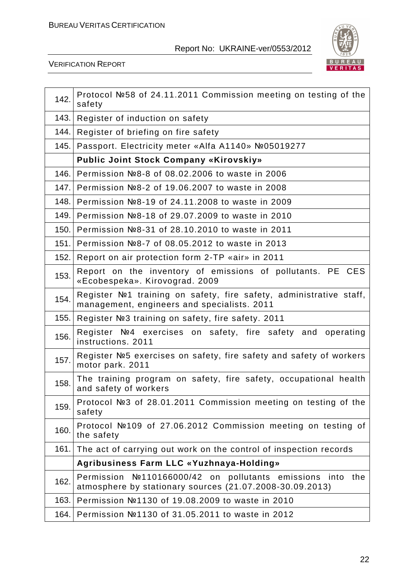

| 142.  | Protocol №58 of 24.11.2011 Commission meeting on testing of the<br>safety                                              |
|-------|------------------------------------------------------------------------------------------------------------------------|
| 143.  | Register of induction on safety                                                                                        |
| 144.  | Register of briefing on fire safety                                                                                    |
| 145.  | Passport. Electricity meter «Alfa A1140» №05019277                                                                     |
|       | <b>Public Joint Stock Company «Kirovskiy»</b>                                                                          |
| 146.  | Permission №8-8 of 08.02.2006 to waste in 2006                                                                         |
| 147.  | Permission №8-2 of 19.06.2007 to waste in 2008                                                                         |
| 148.  | Permission №8-19 of 24.11.2008 to waste in 2009                                                                        |
| 149.  | Permission №8-18 of 29.07.2009 to waste in 2010                                                                        |
| 150.  | Permission №8-31 of 28.10.2010 to waste in 2011                                                                        |
| 151.1 | Permission №8-7 of 08.05.2012 to waste in 2013                                                                         |
| 152.  | Report on air protection form 2-TP «air» in 2011                                                                       |
| 153.  | Report on the inventory of emissions of pollutants. PE CES<br>«Ecobespeka». Kirovograd. 2009                           |
| 154.  | Register №1 training on safety, fire safety, administrative staff,<br>management, engineers and specialists. 2011      |
|       | 155. Register №3 training on safety, fire safety. 2011                                                                 |
| 156.  | Register Nº4 exercises on safety, fire safety and operating<br>instructions. 2011                                      |
| 157.  | Register №5 exercises on safety, fire safety and safety of workers<br>motor park. 2011                                 |
| 158.  | The training program on safety, fire safety, occupational health<br>and safety of workers                              |
| 159.  | Protocol №3 of 28.01.2011 Commission meeting on testing of the<br>safety                                               |
| 160.  | Protocol №109 of 27.06.2012 Commission meeting on testing of<br>the safety                                             |
| 161.  | The act of carrying out work on the control of inspection records                                                      |
|       | Agribusiness Farm LLC «Yuzhnaya-Holding»                                                                               |
| 162.  | Permission Nº110166000/42 on pollutants emissions into the<br>atmosphere by stationary sources (21.07.2008-30.09.2013) |
| 163.  | Permission №1130 of 19.08.2009 to waste in 2010                                                                        |
| 164.  | Permission №1130 of 31.05.2011 to waste in 2012                                                                        |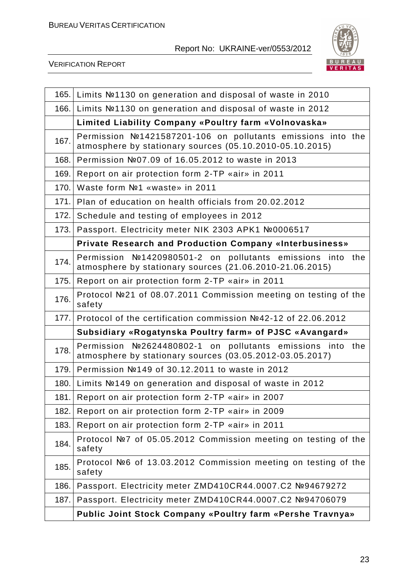

| 165.  | Limits Nº1130 on generation and disposal of waste in 2010                                                               |
|-------|-------------------------------------------------------------------------------------------------------------------------|
| 166.  | Limits Nº1130 on generation and disposal of waste in 2012                                                               |
|       | Limited Liability Company «Poultry farm «Volnovaska»                                                                    |
| 167.  | Permission №1421587201-106 on pollutants emissions into the<br>atmosphere by stationary sources (05.10.2010-05.10.2015) |
| 168.1 | Permission №07.09 of 16.05.2012 to waste in 2013                                                                        |
| 169.  | Report on air protection form 2-TP «air» in 2011                                                                        |
| 170.  | Waste form Nº1 «waste» in 2011                                                                                          |
| 171.1 | Plan of education on health officials from 20.02.2012                                                                   |
| 172.  | Schedule and testing of employees in 2012                                                                               |
| 173.1 | Passport. Electricity meter NIK 2303 APK1 №0006517                                                                      |
|       | <b>Private Research and Production Company «Interbusiness»</b>                                                          |
| 174.  | Permission Nº1420980501-2 on pollutants emissions into the<br>atmosphere by stationary sources (21.06.2010-21.06.2015)  |
| 175.  | Report on air protection form 2-TP «air» in 2011                                                                        |
| 176.  | Protocol №21 of 08.07.2011 Commission meeting on testing of the<br>safety                                               |
| 177.1 | Protocol of the certification commission Nº42-12 of 22.06.2012                                                          |
|       | Subsidiary «Rogatynska Poultry farm» of PJSC «Avangard»                                                                 |
| 178.  | Permission Nº2624480802-1 on pollutants emissions into the<br>atmosphere by stationary sources (03.05.2012-03.05.2017)  |
| 179.  | Permission №149 of 30.12.2011 to waste in 2012                                                                          |
| 180.1 | Limits №149 on generation and disposal of waste in 2012                                                                 |
| 181.  | Report on air protection form 2-TP «air» in 2007                                                                        |
| 182.  | Report on air protection form 2-TP «air» in 2009                                                                        |
| 183.  | Report on air protection form 2-TP «air» in 2011                                                                        |
| 184.  | Protocol №7 of 05.05.2012 Commission meeting on testing of the<br>safety                                                |
| 185.  | Protocol №6 of 13.03.2012 Commission meeting on testing of the<br>safety                                                |
| 186.  | Passport. Electricity meter ZMD410CR44.0007.C2 №94679272                                                                |
| 187.  | Passport. Electricity meter ZMD410CR44.0007.C2 №94706079                                                                |
|       | Public Joint Stock Company «Poultry farm «Pershe Travnya»                                                               |
|       |                                                                                                                         |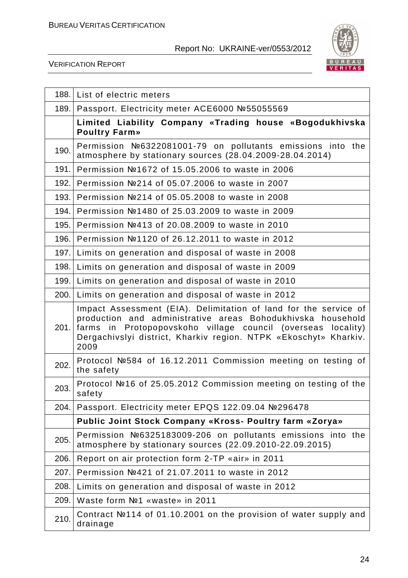

|      | 188. List of electric meters                                                                                                                                                                                                                                                        |
|------|-------------------------------------------------------------------------------------------------------------------------------------------------------------------------------------------------------------------------------------------------------------------------------------|
| 189. | Passport. Electricity meter ACE6000 №55055569                                                                                                                                                                                                                                       |
|      | Limited Liability Company «Trading house «Bogodukhivska<br><b>Poultry Farm»</b>                                                                                                                                                                                                     |
| 190. | Permission №6322081001-79 on pollutants emissions into the<br>atmosphere by stationary sources (28.04.2009-28.04.2014)                                                                                                                                                              |
| 191. | Permission №1672 of 15.05.2006 to waste in 2006                                                                                                                                                                                                                                     |
| 192. | Permission №214 of 05.07.2006 to waste in 2007                                                                                                                                                                                                                                      |
| 193. | Permission №214 of 05.05.2008 to waste in 2008                                                                                                                                                                                                                                      |
| 194. | Permission №1480 of 25.03.2009 to waste in 2009                                                                                                                                                                                                                                     |
| 195. | Permission №413 of 20.08.2009 to waste in 2010                                                                                                                                                                                                                                      |
| 196. | Permission №1120 of 26.12.2011 to waste in 2012                                                                                                                                                                                                                                     |
|      | 197. Limits on generation and disposal of waste in 2008                                                                                                                                                                                                                             |
| 198. | Limits on generation and disposal of waste in 2009                                                                                                                                                                                                                                  |
|      | 199. Limits on generation and disposal of waste in 2010                                                                                                                                                                                                                             |
|      | 200. Limits on generation and disposal of waste in 2012                                                                                                                                                                                                                             |
|      | Impact Assessment (EIA). Delimitation of land for the service of<br>production and administrative areas Bohodukhivska household<br>201. farms in Protopopovskoho village council (overseas<br>locality)<br>Dergachivslyi district, Kharkiv region. NTPK «Ekoschyt» Kharkiv.<br>2009 |
| 202. | Protocol Nº584 of 16.12.2011 Commission meeting on testing of<br>the safety                                                                                                                                                                                                         |
| 203. | Protocol №16 of 25.05.2012 Commission meeting on testing of the<br>safety                                                                                                                                                                                                           |
| 204. | Passport. Electricity meter EPQS 122.09.04 №296478                                                                                                                                                                                                                                  |
|      | Public Joint Stock Company «Kross- Poultry farm «Zorya»                                                                                                                                                                                                                             |
| 205. | Permission №6325183009-206 on pollutants emissions into the<br>atmosphere by stationary sources (22.09.2010-22.09.2015)                                                                                                                                                             |
| 206. | Report on air protection form 2-TP «air» in 2011                                                                                                                                                                                                                                    |
| 207. | Permission №421 of 21.07.2011 to waste in 2012                                                                                                                                                                                                                                      |
| 208. | Limits on generation and disposal of waste in 2012                                                                                                                                                                                                                                  |
| 209. | Waste form Nº1 «waste» in 2011                                                                                                                                                                                                                                                      |
| 210. | Contract №114 of 01.10.2001 on the provision of water supply and<br>drainage                                                                                                                                                                                                        |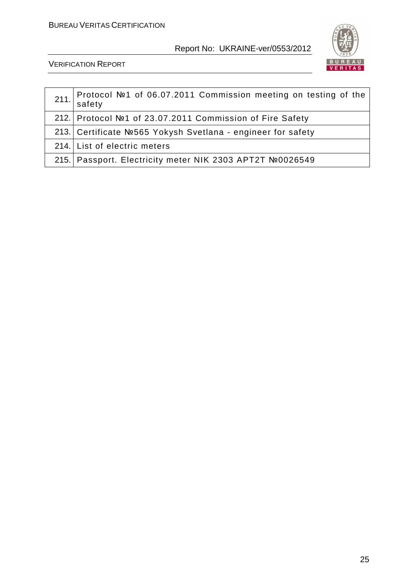

| Protocol №1 of 06.07.2011 Commission meeting on testing of the<br>$211.$ safety |
|---------------------------------------------------------------------------------|
| 212.   Protocol №1 of 23.07.2011 Commission of Fire Safety                      |
| 213. Certificate №565 Yokysh Svetlana - engineer for safety                     |
| 214. List of electric meters                                                    |
| 215. Passport. Electricity meter NIK 2303 APT2T №0026549                        |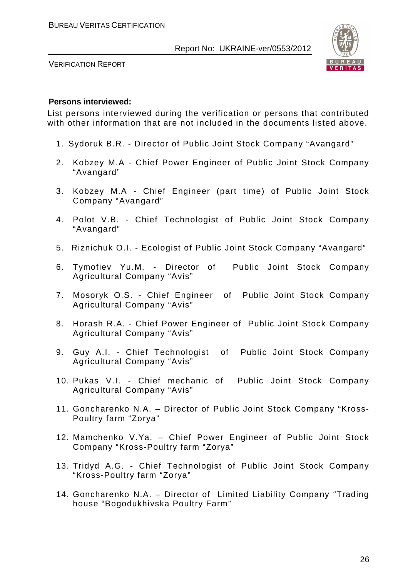

VERIFICATION REPORT

#### **Persons interviewed:**

List persons interviewed during the verification or persons that contributed with other information that are not included in the documents listed above.

- 1. Sydoruk B.R. Director of Public Joint Stock Company "Avangard"
- 2. Kobzey M.A Chief Power Engineer of Public Joint Stock Company "Avangard"
- 3. Kobzey M.A Chief Engineer (part time) of Public Joint Stock Company "Avangard"
- 4. Polot V.B. Chief Technologist of Public Joint Stock Company "Avangard"
- 5. Riznichuk O.I. Ecologist of Public Joint Stock Company "Avangard"
- 6. Tymofiev Yu.M. Director of Public Joint Stock Company Agricultural Company "Avis"
- 7. Mosoryk O.S. Chief Engineer of Public Joint Stock Company Agricultural Company "Avis"
- 8. Horash R.A. Chief Power Engineer of Public Joint Stock Company Agricultural Company "Avis"
- 9. Guy A.I. Chief Technologist of Public Joint Stock Company Agricultural Company "Avis"
- 10. Pukas V.I. Chief mechanic of Public Joint Stock Company Agricultural Company "Avis"
- 11. Goncharenko N.A. Director of Public Joint Stock Company "Kross-Poultry farm "Zorya"
- 12. Mamchenko V.Ya. Chief Power Engineer of Public Joint Stock Company "Kross-Poultry farm "Zorya"
- 13. Tridyd A.G. Chief Technologist of Public Joint Stock Company "Kross-Poultry farm "Zorya"
- 14. Goncharenko N.A. Director of Limited Liability Company "Trading house "Bogodukhivska Poultry Farm"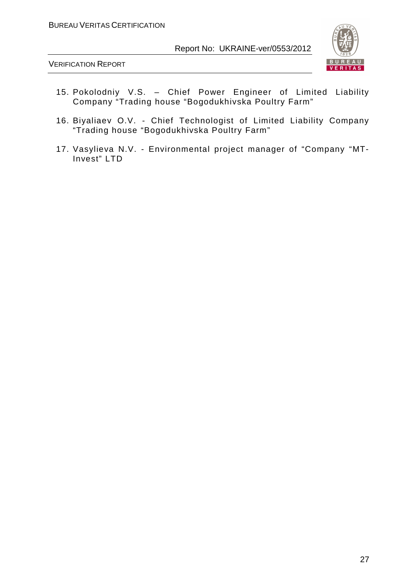

- 15. Pokolodniy V.S. Chief Power Engineer of Limited Liability Company "Trading house "Bogodukhivska Poultry Farm"
- 16. Biyaliaev O.V. Chief Technologist of Limited Liability Company "Trading house "Bogodukhivska Poultry Farm"
- 17. Vasylieva N.V. Environmental project manager of "Company "MT-Invest" LTD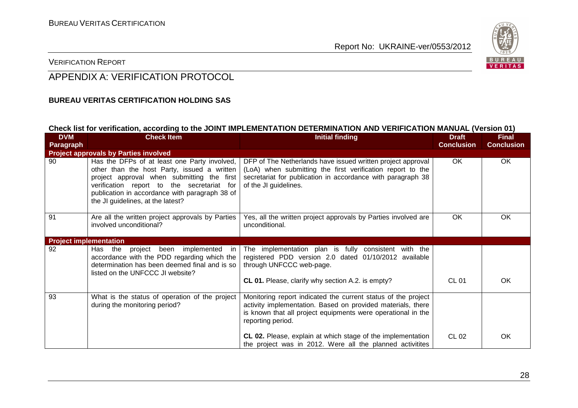

#### VERIFICATION REPORT

# APPENDIX A: VERIFICATION PROTOCOL

#### **BUREAU VERITAS CERTIFICATION HOLDING SAS**

#### **Check list for verification, according to the JOINT IMPLEMENTATION DETERMINATION AND VERIFICATION MANUAL (Version 01)**

| <b>DVM</b><br>Paragraph       | <b>Check Item</b>                                                                                                                                                                                                                                                              | <b>Initial finding</b>                                                                                                                                                                                            | <b>Draft</b><br><b>Conclusion</b> | <b>Final</b><br><b>Conclusion</b> |
|-------------------------------|--------------------------------------------------------------------------------------------------------------------------------------------------------------------------------------------------------------------------------------------------------------------------------|-------------------------------------------------------------------------------------------------------------------------------------------------------------------------------------------------------------------|-----------------------------------|-----------------------------------|
|                               | <b>Project approvals by Parties involved</b>                                                                                                                                                                                                                                   |                                                                                                                                                                                                                   |                                   |                                   |
| 90                            | Has the DFPs of at least one Party involved,<br>other than the host Party, issued a written<br>project approval when submitting the first<br>verification report to the secretariat for<br>publication in accordance with paragraph 38 of<br>the JI guidelines, at the latest? | DFP of The Netherlands have issued written project approval<br>(LoA) when submitting the first verification report to the<br>secretariat for publication in accordance with paragraph 38<br>of the JI guidelines. | OK.                               | <b>OK</b>                         |
| 91                            | Are all the written project approvals by Parties<br>involved unconditional?                                                                                                                                                                                                    | Yes, all the written project approvals by Parties involved are<br>unconditional.                                                                                                                                  | <b>OK</b>                         | <b>OK</b>                         |
| <b>Project implementation</b> |                                                                                                                                                                                                                                                                                |                                                                                                                                                                                                                   |                                   |                                   |
| 92                            | Has the project been implemented in<br>accordance with the PDD regarding which the<br>determination has been deemed final and is so<br>listed on the UNFCCC JI website?                                                                                                        | The implementation plan is fully consistent with the<br>registered PDD version 2.0 dated 01/10/2012 available<br>through UNFCCC web-page.                                                                         |                                   |                                   |
|                               |                                                                                                                                                                                                                                                                                | CL 01. Please, clarify why section A.2. is empty?                                                                                                                                                                 | CL 01                             | OK                                |
| 93                            | What is the status of operation of the project<br>during the monitoring period?                                                                                                                                                                                                | Monitoring report indicated the current status of the project<br>activity implementation. Based on provided materials, there<br>is known that all project equipments were operational in the<br>reporting period. |                                   |                                   |
|                               |                                                                                                                                                                                                                                                                                | <b>CL 02.</b> Please, explain at which stage of the implementation<br>the project was in 2012. Were all the planned activitites                                                                                   | CL 02                             | OK                                |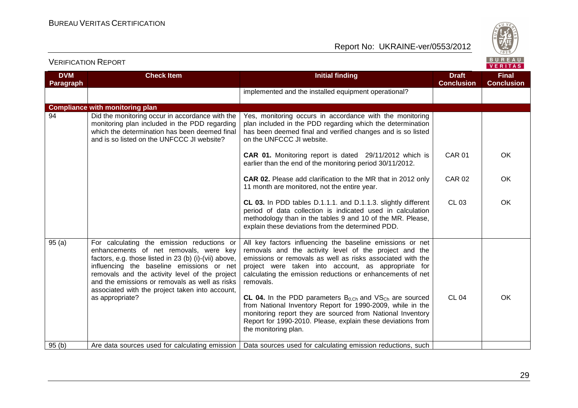

VERITAS

**OK** 

OK

**OK** 

#### **DVM Paragraph Check Item Initial finding Draft ConclusionFinal Conclusion** implemented and the installed equipment operational? **Compliance with monitoring plan** 94 Did the monitoring occur in accordance with the monitoring plan included in the PDD regarding which the determination has been deemed final and is so listed on the UNFCCC JI website? Yes, monitoring occurs in accordance with the monitoring plan included in the PDD regarding which the determination has been deemed final and verified changes and is so listed on the UNFCCC JI website. **CAR 01.** Monitoring report is dated 29/11/2012 which is earlier than the end of the monitoring period 30/11/2012. **CAR 02.** Please add clarification to the MR that in 2012 only 11 month are monitored, not the entire year. **CL 03.** In PDD tables D.1.1.1. and D.1.1.3. slightly different period of data collection is indicated used in calculation methodology than in the tables 9 and 10 of the MR. Please, explain these deviations from the determined PDD. CAR 01 CAR 02 CL 03 95 (a) For calculating the emission reductions or enhancements of net removals, were key factors, e.g. those listed in 23 (b) (i)-(vii) above, influencing the baseline emissions or net removals and the activity level of the project and the emissions or removals as well as risks associated with the project taken into account, as appropriate? All key factors influencing the baseline emissions or net removals and the activity level of the project and the emissions or removals as well as risks associated with the project were taken into account, as appropriate for calculating the emission reductions or enhancements of net removals. **CL 04.** In the PDD parameters  $B_{0,Ch}$  and  $VS_{Ch}$  are sourced from National Inventory Report for 1990-2009, while in the monitoring report they are sourced from National Inventory Report for 1990-2010. Please, explain these deviations from the monitoring plan. CL 04 OK 95 (b) Are data sources used for calculating emission Data sources used for calculating emission reductions, such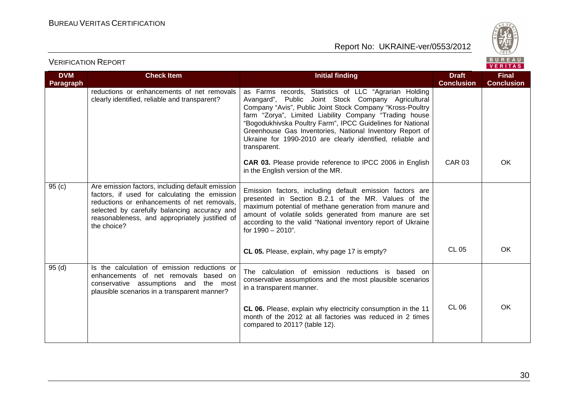



| <b>Check Item</b>                                                                                                                                                                                                                                                 | <b>Initial finding</b>                                                                                                                                                                                                                                                                                                                                                                                                                     | <b>Draft</b>  | <b>Final</b><br><b>Conclusion</b> |
|-------------------------------------------------------------------------------------------------------------------------------------------------------------------------------------------------------------------------------------------------------------------|--------------------------------------------------------------------------------------------------------------------------------------------------------------------------------------------------------------------------------------------------------------------------------------------------------------------------------------------------------------------------------------------------------------------------------------------|---------------|-----------------------------------|
| reductions or enhancements of net removals<br>clearly identified, reliable and transparent?                                                                                                                                                                       | as Farms records, Statistics of LLC "Agrarian Holding<br>Avangard", Public Joint Stock Company Agricultural<br>Company "Avis", Public Joint Stock Company "Kross-Poultry<br>farm "Zorya", Limited Liability Company "Trading house<br>"Bogodukhivska Poultry Farm", IPCC Guidelines for National<br>Greenhouse Gas Inventories, National Inventory Report of<br>Ukraine for 1990-2010 are clearly identified, reliable and<br>transparent. |               |                                   |
|                                                                                                                                                                                                                                                                   | <b>CAR 03.</b> Please provide reference to IPCC 2006 in English<br>in the English version of the MR.                                                                                                                                                                                                                                                                                                                                       | <b>CAR 03</b> | OK                                |
| Are emission factors, including default emission<br>factors, if used for calculating the emission<br>reductions or enhancements of net removals,<br>selected by carefully balancing accuracy and<br>reasonableness, and appropriately justified of<br>the choice? | Emission factors, including default emission factors are<br>presented in Section B.2.1 of the MR. Values of the<br>maximum potential of methane generation from manure and<br>amount of volatile solids generated from manure are set<br>according to the valid "National inventory report of Ukraine<br>for 1990 - 2010".                                                                                                                 |               |                                   |
|                                                                                                                                                                                                                                                                   | CL 05. Please, explain, why page 17 is empty?                                                                                                                                                                                                                                                                                                                                                                                              | <b>CL 05</b>  | OK.                               |
| Is the calculation of emission reductions or<br>enhancements of net removals based on<br>conservative assumptions and the most<br>plausible scenarios in a transparent manner?                                                                                    | The calculation of emission reductions is based on<br>conservative assumptions and the most plausible scenarios<br>in a transparent manner.<br>CL 06. Please, explain why electricity consumption in the 11<br>month of the 2012 at all factories was reduced in 2 times<br>compared to 2011? (table 12).                                                                                                                                  | <b>CL 06</b>  | OK                                |
|                                                                                                                                                                                                                                                                   |                                                                                                                                                                                                                                                                                                                                                                                                                                            |               | <b>Conclusion</b>                 |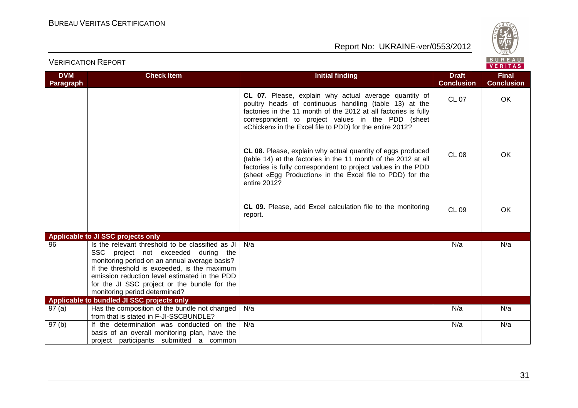

|                                |                                                                                                                                                                                                                                                                                                                            |                                                                                                                                                                                                                                                                                                     |                                   | VERITAS                           |
|--------------------------------|----------------------------------------------------------------------------------------------------------------------------------------------------------------------------------------------------------------------------------------------------------------------------------------------------------------------------|-----------------------------------------------------------------------------------------------------------------------------------------------------------------------------------------------------------------------------------------------------------------------------------------------------|-----------------------------------|-----------------------------------|
| <b>DVM</b><br><b>Paragraph</b> | <b>Check Item</b>                                                                                                                                                                                                                                                                                                          | <b>Initial finding</b>                                                                                                                                                                                                                                                                              | <b>Draft</b><br><b>Conclusion</b> | <b>Final</b><br><b>Conclusion</b> |
|                                |                                                                                                                                                                                                                                                                                                                            | CL 07. Please, explain why actual average quantity of<br>poultry heads of continuous handling (table 13) at the<br>factories in the 11 month of the 2012 at all factories is fully<br>correspondent to project values in the PDD (sheet<br>«Chicken» in the Excel file to PDD) for the entire 2012? | <b>CL 07</b>                      | OK                                |
|                                |                                                                                                                                                                                                                                                                                                                            | CL 08. Please, explain why actual quantity of eggs produced<br>(table 14) at the factories in the 11 month of the 2012 at all<br>factories is fully correspondent to project values in the PDD<br>(sheet «Egg Production» in the Excel file to PDD) for the<br>entire 2012?                         | <b>CL 08</b>                      | <b>OK</b>                         |
|                                |                                                                                                                                                                                                                                                                                                                            | CL 09. Please, add Excel calculation file to the monitoring<br>report.                                                                                                                                                                                                                              | <b>CL 09</b>                      | OK                                |
|                                | Applicable to JI SSC projects only                                                                                                                                                                                                                                                                                         |                                                                                                                                                                                                                                                                                                     |                                   |                                   |
| 96                             | Is the relevant threshold to be classified as JI<br>SSC project not exceeded during the<br>monitoring period on an annual average basis?<br>If the threshold is exceeded, is the maximum<br>emission reduction level estimated in the PDD<br>for the JI SSC project or the bundle for the<br>monitoring period determined? | N/a                                                                                                                                                                                                                                                                                                 | N/a                               | N/a                               |
|                                | Applicable to bundled JI SSC projects only                                                                                                                                                                                                                                                                                 |                                                                                                                                                                                                                                                                                                     |                                   |                                   |
| 97(a)                          | Has the composition of the bundle not changed<br>from that is stated in F-JI-SSCBUNDLE?                                                                                                                                                                                                                                    | N/a                                                                                                                                                                                                                                                                                                 | N/a                               | N/a                               |
| 97(b)                          | If the determination was conducted on the<br>basis of an overall monitoring plan, have the<br>project participants submitted a common                                                                                                                                                                                      | N/a                                                                                                                                                                                                                                                                                                 | N/a                               | N/a                               |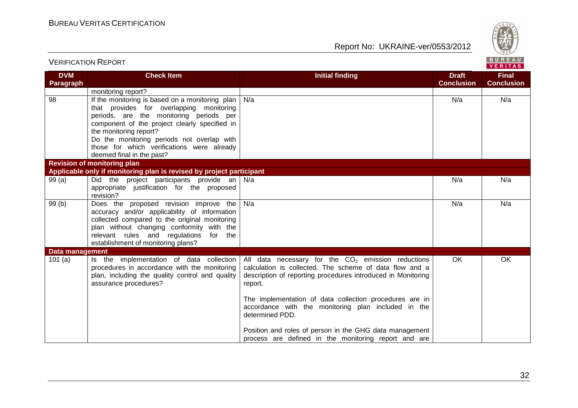

| <b>VERIFICATION REPORT</b>     |                                                                                                                                                                                                                                                                                                                                            |                                                                                                                                                                                                                                                                                                                                                                                            |                                   | BUREAU<br><b>VERITAS</b>          |
|--------------------------------|--------------------------------------------------------------------------------------------------------------------------------------------------------------------------------------------------------------------------------------------------------------------------------------------------------------------------------------------|--------------------------------------------------------------------------------------------------------------------------------------------------------------------------------------------------------------------------------------------------------------------------------------------------------------------------------------------------------------------------------------------|-----------------------------------|-----------------------------------|
| <b>DVM</b><br><b>Paragraph</b> | <b>Check Item</b>                                                                                                                                                                                                                                                                                                                          | <b>Initial finding</b>                                                                                                                                                                                                                                                                                                                                                                     | <b>Draft</b><br><b>Conclusion</b> | <b>Final</b><br><b>Conclusion</b> |
|                                | monitoring report?                                                                                                                                                                                                                                                                                                                         |                                                                                                                                                                                                                                                                                                                                                                                            |                                   |                                   |
| 98                             | If the monitoring is based on a monitoring plan<br>that provides for overlapping monitoring<br>periods, are the monitoring periods per<br>component of the project clearly specified in<br>the monitoring report?<br>Do the monitoring periods not overlap with<br>those for which verifications were already<br>deemed final in the past? | N/a                                                                                                                                                                                                                                                                                                                                                                                        | N/a                               | N/a                               |
|                                | <b>Revision of monitoring plan</b>                                                                                                                                                                                                                                                                                                         |                                                                                                                                                                                                                                                                                                                                                                                            |                                   |                                   |
|                                | Applicable only if monitoring plan is revised by project participant                                                                                                                                                                                                                                                                       |                                                                                                                                                                                                                                                                                                                                                                                            |                                   |                                   |
| 99(a)                          | Did the project participants provide an<br>appropriate justification for the proposed<br>revision?                                                                                                                                                                                                                                         | N/a                                                                                                                                                                                                                                                                                                                                                                                        | N/a                               | N/a                               |
| 99(b)                          | Does the proposed revision improve the<br>accuracy and/or applicability of information<br>collected compared to the original monitoring<br>plan without changing conformity with the<br>relevant rules and regulations for the<br>establishment of monitoring plans?                                                                       | N/a                                                                                                                                                                                                                                                                                                                                                                                        | N/a                               | N/a                               |
| Data management                |                                                                                                                                                                                                                                                                                                                                            |                                                                                                                                                                                                                                                                                                                                                                                            |                                   |                                   |
| 101 $(a)$                      | Is the implementation of data collection<br>procedures in accordance with the monitoring<br>plan, including the quality control and quality<br>assurance procedures?                                                                                                                                                                       | All data necessary for the $CO2$ emission reductions<br>calculation is collected. The scheme of data flow and a<br>description of reporting procedures introduced in Monitoring<br>report.<br>The implementation of data collection procedures are in<br>accordance with the monitoring plan included in the<br>determined PDD.<br>Position and roles of person in the GHG data management | OK                                | OK                                |
|                                |                                                                                                                                                                                                                                                                                                                                            | process are defined in the monitoring report and are                                                                                                                                                                                                                                                                                                                                       |                                   |                                   |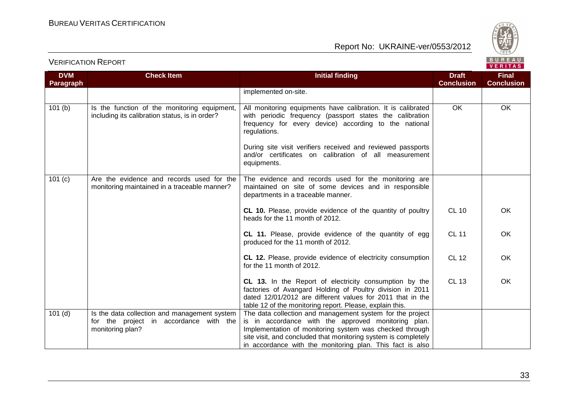

| <b>Check Item</b>                                                                              | <b>Initial finding</b>                                                                                                                                                                                                                                           | <b>Draft</b>                                                                                                                                                                                                                                                                                                                   | <b>Final</b>            |
|------------------------------------------------------------------------------------------------|------------------------------------------------------------------------------------------------------------------------------------------------------------------------------------------------------------------------------------------------------------------|--------------------------------------------------------------------------------------------------------------------------------------------------------------------------------------------------------------------------------------------------------------------------------------------------------------------------------|-------------------------|
|                                                                                                |                                                                                                                                                                                                                                                                  |                                                                                                                                                                                                                                                                                                                                | <b>Conclusion</b>       |
|                                                                                                |                                                                                                                                                                                                                                                                  |                                                                                                                                                                                                                                                                                                                                |                         |
| Is the function of the monitoring equipment,<br>including its calibration status, is in order? | All monitoring equipments have calibration. It is calibrated<br>with periodic frequency (passport states the calibration<br>frequency for every device) according to the national<br>regulations.<br>During site visit verifiers received and reviewed passports |                                                                                                                                                                                                                                                                                                                                | OK                      |
|                                                                                                | equipments.                                                                                                                                                                                                                                                      |                                                                                                                                                                                                                                                                                                                                |                         |
| Are the evidence and records used for the<br>monitoring maintained in a traceable manner?      | The evidence and records used for the monitoring are<br>maintained on site of some devices and in responsible<br>departments in a traceable manner.                                                                                                              |                                                                                                                                                                                                                                                                                                                                |                         |
|                                                                                                | CL 10. Please, provide evidence of the quantity of poultry<br>heads for the 11 month of 2012.                                                                                                                                                                    | <b>CL 10</b>                                                                                                                                                                                                                                                                                                                   | OK                      |
|                                                                                                | CL 11. Please, provide evidence of the quantity of egg<br>produced for the 11 month of 2012.                                                                                                                                                                     | <b>CL 11</b>                                                                                                                                                                                                                                                                                                                   | OK                      |
|                                                                                                | CL 12. Please, provide evidence of electricity consumption<br>for the 11 month of 2012.                                                                                                                                                                          | <b>CL 12</b>                                                                                                                                                                                                                                                                                                                   | OK                      |
|                                                                                                | CL 13. In the Report of electricity consumption by the<br>factories of Avangard Holding of Poultry division in 2011<br>dated 12/01/2012 are different values for 2011 that in the<br>table 12 of the monitoring report. Please, explain this.                    | <b>CL 13</b>                                                                                                                                                                                                                                                                                                                   | OK                      |
| Is the data collection and management system                                                   | The data collection and management system for the project                                                                                                                                                                                                        |                                                                                                                                                                                                                                                                                                                                |                         |
|                                                                                                |                                                                                                                                                                                                                                                                  |                                                                                                                                                                                                                                                                                                                                |                         |
|                                                                                                |                                                                                                                                                                                                                                                                  |                                                                                                                                                                                                                                                                                                                                |                         |
|                                                                                                |                                                                                                                                                                                                                                                                  |                                                                                                                                                                                                                                                                                                                                |                         |
|                                                                                                | for the project in accordance with the<br>monitoring plan?                                                                                                                                                                                                       | implemented on-site.<br>and/or certificates on calibration of all measurement<br>is in accordance with the approved monitoring plan.<br>Implementation of monitoring system was checked through<br>site visit, and concluded that monitoring system is completely<br>in accordance with the monitoring plan. This fact is also | <b>Conclusion</b><br>OK |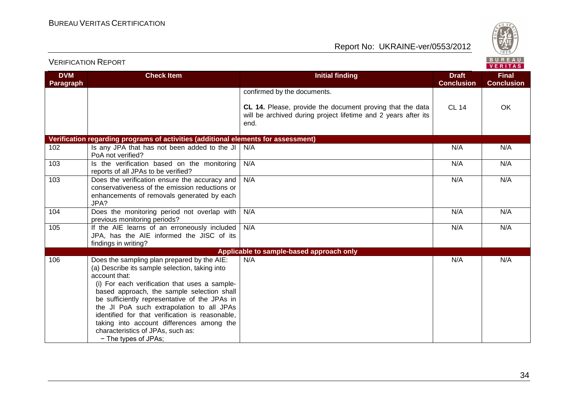

| <b>DVM</b>       | <b>Check Item</b>                                                                                                                                                                                                                                                                                                                                                                                                                                                        | <b>Initial finding</b>                                                                                                              | <b>Draft</b>      | <b>Final</b>      |
|------------------|--------------------------------------------------------------------------------------------------------------------------------------------------------------------------------------------------------------------------------------------------------------------------------------------------------------------------------------------------------------------------------------------------------------------------------------------------------------------------|-------------------------------------------------------------------------------------------------------------------------------------|-------------------|-------------------|
| <b>Paragraph</b> |                                                                                                                                                                                                                                                                                                                                                                                                                                                                          |                                                                                                                                     | <b>Conclusion</b> | <b>Conclusion</b> |
|                  |                                                                                                                                                                                                                                                                                                                                                                                                                                                                          | confirmed by the documents.                                                                                                         |                   |                   |
|                  |                                                                                                                                                                                                                                                                                                                                                                                                                                                                          | CL 14. Please, provide the document proving that the data<br>will be archived during project lifetime and 2 years after its<br>end. | <b>CL 14</b>      | <b>OK</b>         |
|                  | Verification regarding programs of activities (additional elements for assessment)                                                                                                                                                                                                                                                                                                                                                                                       |                                                                                                                                     |                   |                   |
| 102              | Is any JPA that has not been added to the JI<br>PoA not verified?                                                                                                                                                                                                                                                                                                                                                                                                        | N/A                                                                                                                                 | N/A               | N/A               |
| 103              | Is the verification based on the monitoring<br>reports of all JPAs to be verified?                                                                                                                                                                                                                                                                                                                                                                                       | N/A                                                                                                                                 | N/A               | N/A               |
| 103              | Does the verification ensure the accuracy and<br>conservativeness of the emission reductions or<br>enhancements of removals generated by each<br>JPA?                                                                                                                                                                                                                                                                                                                    | N/A                                                                                                                                 | N/A               | N/A               |
| 104              | Does the monitoring period not overlap with<br>previous monitoring periods?                                                                                                                                                                                                                                                                                                                                                                                              | N/A                                                                                                                                 | N/A               | N/A               |
| 105              | If the AIE learns of an erroneously included<br>JPA, has the AIE informed the JISC of its<br>findings in writing?                                                                                                                                                                                                                                                                                                                                                        | N/A                                                                                                                                 | N/A               | N/A               |
|                  |                                                                                                                                                                                                                                                                                                                                                                                                                                                                          | Applicable to sample-based approach only                                                                                            |                   |                   |
| 106              | Does the sampling plan prepared by the AIE:<br>(a) Describe its sample selection, taking into<br>account that:<br>(i) For each verification that uses a sample-<br>based approach, the sample selection shall<br>be sufficiently representative of the JPAs in<br>the JI PoA such extrapolation to all JPAs<br>identified for that verification is reasonable,<br>taking into account differences among the<br>characteristics of JPAs, such as:<br>- The types of JPAs; | N/A                                                                                                                                 | N/A               | N/A               |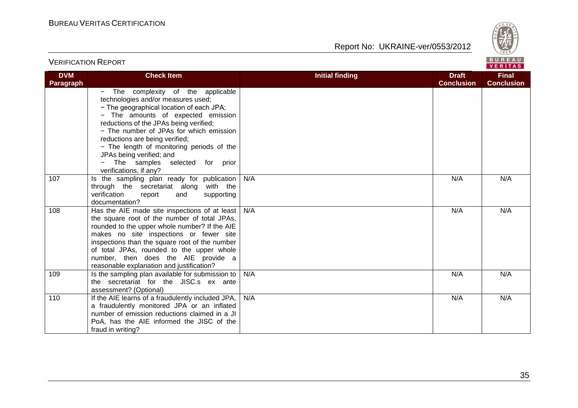

| <b>VERIFICATION REPORT</b> |                                                                                                                                                                                                                                                                                                                                                                                                                          |                        |                                   | BUREAU<br><b>VERITAS</b>          |
|----------------------------|--------------------------------------------------------------------------------------------------------------------------------------------------------------------------------------------------------------------------------------------------------------------------------------------------------------------------------------------------------------------------------------------------------------------------|------------------------|-----------------------------------|-----------------------------------|
| <b>DVM</b><br>Paragraph    | <b>Check Item</b>                                                                                                                                                                                                                                                                                                                                                                                                        | <b>Initial finding</b> | <b>Draft</b><br><b>Conclusion</b> | <b>Final</b><br><b>Conclusion</b> |
|                            | - The complexity of the applicable<br>technologies and/or measures used;<br>- The geographical location of each JPA;<br>- The amounts of expected emission<br>reductions of the JPAs being verified;<br>- The number of JPAs for which emission<br>reductions are being verified;<br>- The length of monitoring periods of the<br>JPAs being verified; and<br>- The samples selected for prior<br>verifications, if any? |                        |                                   |                                   |
| 107                        | Is the sampling plan ready for publication<br>through the secretariat along with the<br>verification<br>supporting<br>report<br>and<br>documentation?                                                                                                                                                                                                                                                                    | N/A                    | N/A                               | N/A                               |
| 108                        | Has the AIE made site inspections of at least<br>the square root of the number of total JPAs,<br>rounded to the upper whole number? If the AIE<br>makes no site inspections or fewer site<br>inspections than the square root of the number<br>of total JPAs, rounded to the upper whole<br>number, then does the AIE provide a<br>reasonable explanation and justification?                                             | N/A                    | N/A                               | N/A                               |
| 109                        | Is the sampling plan available for submission to<br>the secretariat for the JISC.s ex ante<br>assessment? (Optional)                                                                                                                                                                                                                                                                                                     | N/A                    | N/A                               | N/A                               |
| 110                        | If the AIE learns of a fraudulently included JPA,<br>a fraudulently monitored JPA or an inflated<br>number of emission reductions claimed in a JI<br>PoA, has the AIE informed the JISC of the<br>fraud in writing?                                                                                                                                                                                                      | N/A                    | N/A                               | N/A                               |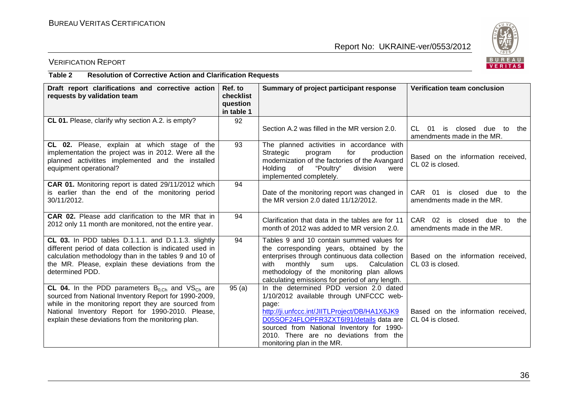

# VERIFICATION REPORT

#### **Table 2 Resolution of Corrective Action and Clarification Requests**

| Draft report clarifications and corrective action<br>requests by validation team                                                                                                                                                                                                     | Ref. to<br>checklist<br>question<br>in table 1 | Summary of project participant response                                                                                                                                                                                                                                                                      | <b>Verification team conclusion</b>                                  |
|--------------------------------------------------------------------------------------------------------------------------------------------------------------------------------------------------------------------------------------------------------------------------------------|------------------------------------------------|--------------------------------------------------------------------------------------------------------------------------------------------------------------------------------------------------------------------------------------------------------------------------------------------------------------|----------------------------------------------------------------------|
| CL 01. Please, clarify why section A.2. is empty?                                                                                                                                                                                                                                    | 92                                             | Section A.2 was filled in the MR version 2.0.                                                                                                                                                                                                                                                                | CL 01<br>is<br>closed due<br>to<br>the<br>amendments made in the MR. |
| CL 02. Please, explain at which stage of the<br>implementation the project was in 2012. Were all the<br>planned activitites implemented and the installed<br>equipment operational?                                                                                                  | 93                                             | The planned activities in accordance with<br>for<br>production<br>Strategic<br>program<br>modernization of the factories of the Avangard<br>Holding<br>"Poultry"<br>of<br>division<br>were<br>implemented completely.                                                                                        | Based on the information received,<br>CL 02 is closed.               |
| <b>CAR 01.</b> Monitoring report is dated 29/11/2012 which<br>is earlier than the end of the monitoring period<br>30/11/2012.                                                                                                                                                        | 94                                             | Date of the monitoring report was changed in<br>the MR version 2.0 dated 11/12/2012.                                                                                                                                                                                                                         | CAR 01 is closed due to<br>the<br>amendments made in the MR.         |
| CAR 02. Please add clarification to the MR that in<br>2012 only 11 month are monitored, not the entire year.                                                                                                                                                                         | 94                                             | Clarification that data in the tables are for 11<br>month of 2012 was added to MR version 2.0.                                                                                                                                                                                                               | CAR 02 is closed due to<br>the<br>amendments made in the MR.         |
| CL 03. In PDD tables D.1.1.1. and D.1.1.3. slightly<br>different period of data collection is indicated used in<br>calculation methodology than in the tables 9 and 10 of<br>the MR. Please, explain these deviations from the<br>determined PDD.                                    | 94                                             | Tables 9 and 10 contain summed values for<br>the corresponding years, obtained by the<br>enterprises through continuous data collection<br>monthly<br>sum<br>Calculation<br>with<br>ups.<br>methodology of the monitoring plan allows<br>calculating emissions for period of any length.                     | Based on the information received,<br>CL 03 is closed.               |
| CL 04. In the PDD parameters $B_{0,Ch}$ and $VS_{Ch}$ are<br>sourced from National Inventory Report for 1990-2009,<br>while in the monitoring report they are sourced from<br>National Inventory Report for 1990-2010. Please,<br>explain these deviations from the monitoring plan. | 95(a)                                          | In the determined PDD version 2.0 dated<br>1/10/2012 available through UNFCCC web-<br>page:<br>http://ji.unfccc.int/JIITLProject/DB/HA1X6JK9<br>D05SOF24FLOPFR3ZXT6l91/details data are<br>sourced from National Inventory for 1990-<br>2010. There are no deviations from the<br>monitoring plan in the MR. | Based on the information received,<br>CL 04 is closed.               |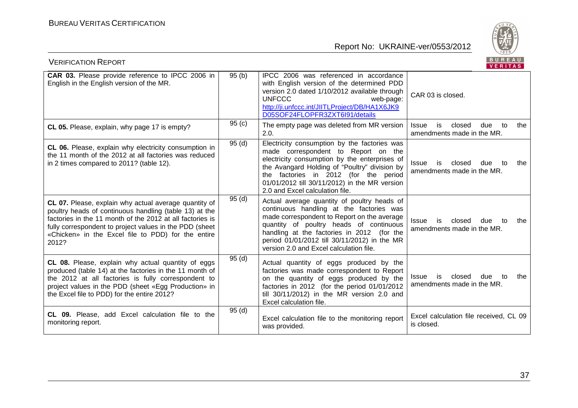

| <b>VERIFICATION REPORT</b>                                                                                                                                                                                                                                                                             |       |                                                                                                                                                                                                                                                                                                                            | <b>BUREAU</b><br>VERITAS                                                       |
|--------------------------------------------------------------------------------------------------------------------------------------------------------------------------------------------------------------------------------------------------------------------------------------------------------|-------|----------------------------------------------------------------------------------------------------------------------------------------------------------------------------------------------------------------------------------------------------------------------------------------------------------------------------|--------------------------------------------------------------------------------|
| <b>CAR 03.</b> Please provide reference to IPCC 2006 in<br>English in the English version of the MR.                                                                                                                                                                                                   | 95(b) | IPCC 2006 was referenced in accordance<br>with English version of the determined PDD<br>version 2.0 dated 1/10/2012 available through<br><b>UNFCCC</b><br>web-page:<br>http://ji.unfccc.int/JIITLProject/DB/HA1X6JK9<br>D05SOF24FLOPFR3ZXT6l91/details                                                                     | CAR 03 is closed.                                                              |
| CL 05. Please, explain, why page 17 is empty?                                                                                                                                                                                                                                                          | 95(c) | The empty page was deleted from MR version<br>2.0.                                                                                                                                                                                                                                                                         | is<br>closed<br>due<br><b>Issue</b><br>to<br>the<br>amendments made in the MR. |
| CL 06. Please, explain why electricity consumption in<br>the 11 month of the 2012 at all factories was reduced<br>in 2 times compared to 2011? (table 12).                                                                                                                                             | 95(d) | Electricity consumption by the factories was<br>made correspondent to Report on the<br>electricity consumption by the enterprises of<br>the Avangard Holding of "Poultry" division by<br>the factories in 2012 (for the period<br>01/01/2012 till 30/11/2012) in the MR version<br>2.0 and Excel calculation file.         | <b>Issue</b><br>is<br>closed<br>due<br>to<br>the<br>amendments made in the MR. |
| CL 07. Please, explain why actual average quantity of<br>poultry heads of continuous handling (table 13) at the<br>factories in the 11 month of the 2012 at all factories is<br>fully correspondent to project values in the PDD (sheet<br>«Chicken» in the Excel file to PDD) for the entire<br>2012? | 95(d) | Actual average quantity of poultry heads of<br>continuous handling at the factories was<br>made correspondent to Report on the average<br>quantity of poultry heads of continuous<br>handling at the factories in 2012 (for the<br>period 01/01/2012 till 30/11/2012) in the MR<br>version 2.0 and Excel calculation file. | is<br>closed<br><b>Issue</b><br>due<br>to<br>the<br>amendments made in the MR. |
| CL 08. Please, explain why actual quantity of eggs<br>produced (table 14) at the factories in the 11 month of<br>the 2012 at all factories is fully correspondent to<br>project values in the PDD (sheet «Egg Production» in<br>the Excel file to PDD) for the entire 2012?                            | 95(d) | Actual quantity of eggs produced by the<br>factories was made correspondent to Report<br>on the quantity of eggs produced by the<br>factories in 2012 (for the period 01/01/2012<br>till 30/11/2012) in the MR version 2.0 and<br>Excel calculation file.                                                                  | is<br>closed<br>due<br>to<br>the<br><b>Issue</b><br>amendments made in the MR. |
| CL 09. Please, add Excel calculation file to the<br>monitoring report.                                                                                                                                                                                                                                 | 95(d) | Excel calculation file to the monitoring report<br>was provided.                                                                                                                                                                                                                                                           | Excel calculation file received, CL 09<br>is closed.                           |